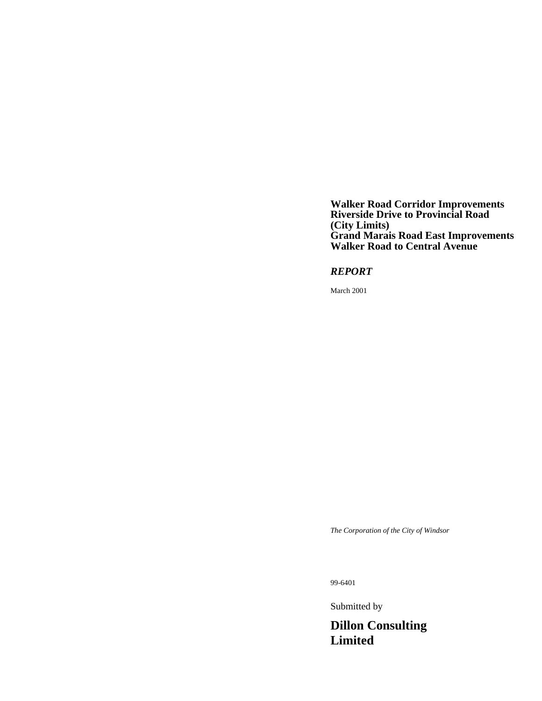**Walker Road Corridor Improvements Riverside Drive to Provincial Road (City Limits) Grand Marais Road East Improvements Walker Road to Central Avenue**

*REPORT*

March 2001

*The Corporation of the City of Windsor*

99-6401

Submitted by

**Dillon Consulting Limited**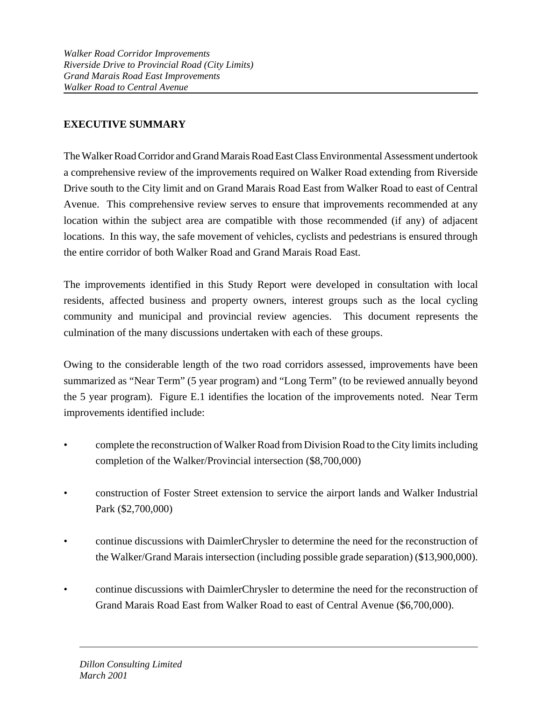# **EXECUTIVE SUMMARY**

The Walker Road Corridor and Grand Marais Road East Class Environmental Assessment undertook a comprehensive review of the improvements required on Walker Road extending from Riverside Drive south to the City limit and on Grand Marais Road East from Walker Road to east of Central Avenue. This comprehensive review serves to ensure that improvements recommended at any location within the subject area are compatible with those recommended (if any) of adjacent locations. In this way, the safe movement of vehicles, cyclists and pedestrians is ensured through the entire corridor of both Walker Road and Grand Marais Road East.

The improvements identified in this Study Report were developed in consultation with local residents, affected business and property owners, interest groups such as the local cycling community and municipal and provincial review agencies. This document represents the culmination of the many discussions undertaken with each of these groups.

Owing to the considerable length of the two road corridors assessed, improvements have been summarized as "Near Term" (5 year program) and "Long Term" (to be reviewed annually beyond the 5 year program). Figure E.1 identifies the location of the improvements noted. Near Term improvements identified include:

- complete the reconstruction of Walker Road from Division Road to the City limits including completion of the Walker/Provincial intersection (\$8,700,000)
- construction of Foster Street extension to service the airport lands and Walker Industrial Park (\$2,700,000)
- continue discussions with DaimlerChrysler to determine the need for the reconstruction of the Walker/Grand Marais intersection (including possible grade separation) (\$13,900,000).
- continue discussions with DaimlerChrysler to determine the need for the reconstruction of Grand Marais Road East from Walker Road to east of Central Avenue (\$6,700,000).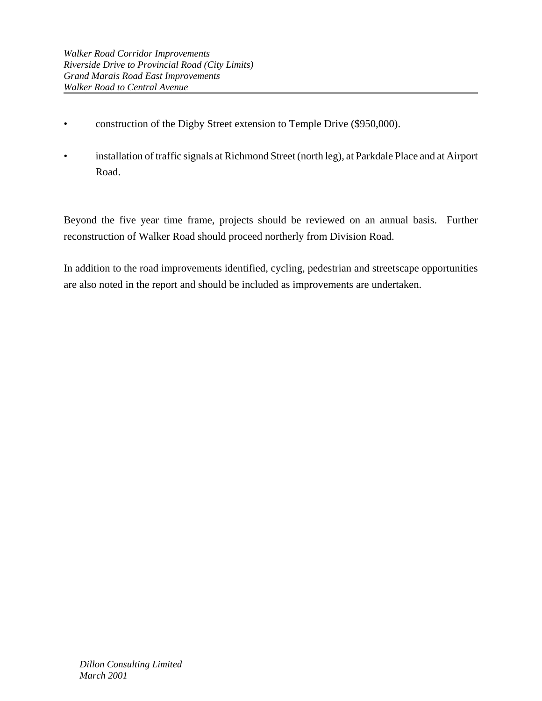- construction of the Digby Street extension to Temple Drive (\$950,000).
- installation of traffic signals at Richmond Street (north leg), at Parkdale Place and at Airport Road.

Beyond the five year time frame, projects should be reviewed on an annual basis. Further reconstruction of Walker Road should proceed northerly from Division Road.

In addition to the road improvements identified, cycling, pedestrian and streetscape opportunities are also noted in the report and should be included as improvements are undertaken.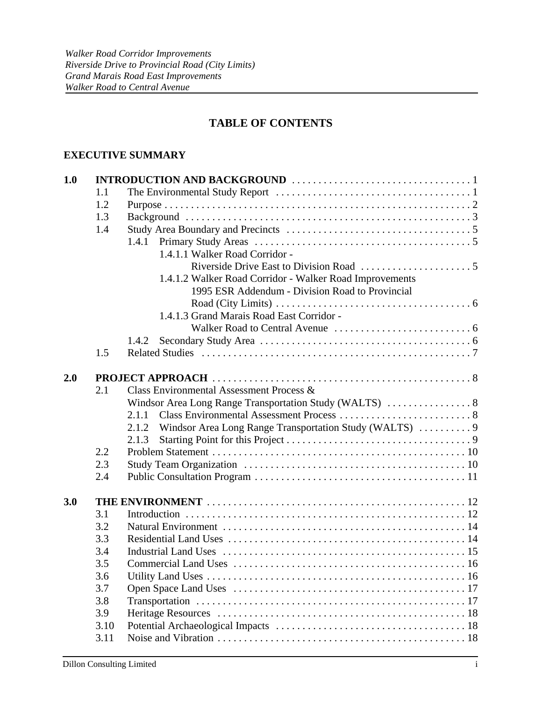# **TABLE OF CONTENTS**

### **EXECUTIVE SUMMARY**

| 1.0 |      |                                                                                                                |  |  |  |
|-----|------|----------------------------------------------------------------------------------------------------------------|--|--|--|
|     | 1.1  | The Environmental Study Report $\dots \dots \dots \dots \dots \dots \dots \dots \dots \dots \dots \dots \dots$ |  |  |  |
|     | 1.2  |                                                                                                                |  |  |  |
|     | 1.3  | Background $\ldots$ $\ldots$ $\ldots$ $\ldots$ $\ldots$ $\ldots$ $\ldots$ $\ldots$ $\ldots$ 3                  |  |  |  |
|     | 1.4  |                                                                                                                |  |  |  |
|     |      | 1.4.1                                                                                                          |  |  |  |
|     |      | 1.4.1.1 Walker Road Corridor -                                                                                 |  |  |  |
|     |      |                                                                                                                |  |  |  |
|     |      | 1.4.1.2 Walker Road Corridor - Walker Road Improvements                                                        |  |  |  |
|     |      | 1995 ESR Addendum - Division Road to Provincial                                                                |  |  |  |
|     |      | Road (City Limits) $\dots \dots \dots \dots \dots \dots \dots \dots \dots \dots \dots \dots \dots \dots$       |  |  |  |
|     |      | 1.4.1.3 Grand Marais Road East Corridor -                                                                      |  |  |  |
|     |      |                                                                                                                |  |  |  |
|     |      | 1.4.2                                                                                                          |  |  |  |
|     | 1.5  |                                                                                                                |  |  |  |
|     |      |                                                                                                                |  |  |  |
| 2.0 |      |                                                                                                                |  |  |  |
|     | 2.1  | Class Environmental Assessment Process &                                                                       |  |  |  |
|     |      | Windsor Area Long Range Transportation Study (WALTS)  8                                                        |  |  |  |
|     |      |                                                                                                                |  |  |  |
|     |      | Windsor Area Long Range Transportation Study (WALTS)  9<br>2.1.2                                               |  |  |  |
|     |      | 2.1.3                                                                                                          |  |  |  |
|     | 2.2  |                                                                                                                |  |  |  |
|     | 2.3  |                                                                                                                |  |  |  |
|     | 2.4  |                                                                                                                |  |  |  |
| 3.0 |      |                                                                                                                |  |  |  |
|     | 3.1  |                                                                                                                |  |  |  |
|     | 3.2  |                                                                                                                |  |  |  |
|     | 3.3  |                                                                                                                |  |  |  |
|     | 3.4  |                                                                                                                |  |  |  |
|     | 3.5  |                                                                                                                |  |  |  |
|     | 3.6  |                                                                                                                |  |  |  |
|     | 3.7  |                                                                                                                |  |  |  |
|     | 3.8  |                                                                                                                |  |  |  |
|     | 3.9  |                                                                                                                |  |  |  |
|     | 3.10 |                                                                                                                |  |  |  |
|     | 3.11 |                                                                                                                |  |  |  |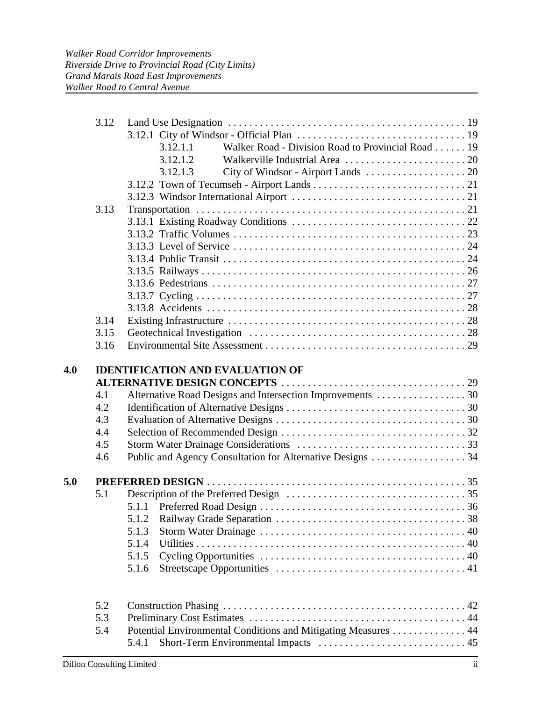|     | 3.12<br>3.13                           | Walker Road - Division Road to Provincial Road 19<br>3.12.1.1<br>3.12.1.2<br>3.12.1.3 |
|-----|----------------------------------------|---------------------------------------------------------------------------------------|
|     |                                        |                                                                                       |
|     | 3.14                                   |                                                                                       |
|     | 3.15<br>3.16                           |                                                                                       |
|     | 4.1<br>4.2<br>4.3<br>4.4<br>4.5<br>4.6 | Alternative Road Designs and Intersection Improvements 30                             |
| 5.0 |                                        |                                                                                       |
|     | 5.1                                    |                                                                                       |
|     |                                        |                                                                                       |
|     |                                        | 5.1.2                                                                                 |
|     |                                        | 5.1.3<br>5.1.4                                                                        |
|     |                                        | 5.1.5                                                                                 |
|     |                                        | 5.1.6                                                                                 |
|     | 5.2<br>5.3<br>5.4                      | Potential Environmental Conditions and Mitigating Measures  44<br>5.4.1               |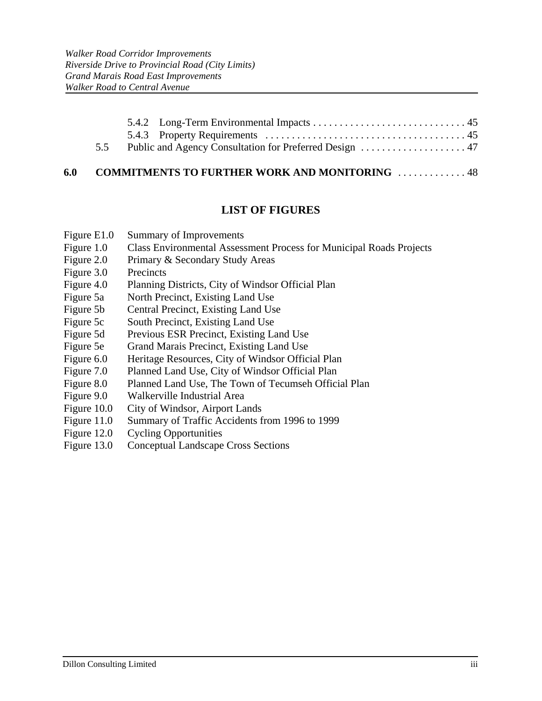| 5.5 Public and Agency Consultation for Preferred Design  47 |  |
|-------------------------------------------------------------|--|
|                                                             |  |

## **6.0 COMMITMENTS TO FURTHER WORK AND MONITORING** . . . . . . . . . . . . . 48

## **LIST OF FIGURES**

- Figure E1.0 Summary of Improvements
- Figure 1.0 Class Environmental Assessment Process for Municipal Roads Projects
- Figure 2.0 Primary & Secondary Study Areas
- Figure 3.0 Precincts
- Figure 4.0 Planning Districts, City of Windsor Official Plan
- Figure 5a North Precinct, Existing Land Use
- Figure 5b Central Precinct, Existing Land Use
- Figure 5c South Precinct, Existing Land Use
- Figure 5d Previous ESR Precinct, Existing Land Use
- Figure 5e Grand Marais Precinct, Existing Land Use
- Figure 6.0 Heritage Resources, City of Windsor Official Plan
- Figure 7.0 Planned Land Use, City of Windsor Official Plan
- Figure 8.0 Planned Land Use, The Town of Tecumseh Official Plan
- Figure 9.0 Walkerville Industrial Area
- Figure 10.0 City of Windsor, Airport Lands
- Figure 11.0 Summary of Traffic Accidents from 1996 to 1999
- Figure 12.0 Cycling Opportunities
- Figure 13.0 Conceptual Landscape Cross Sections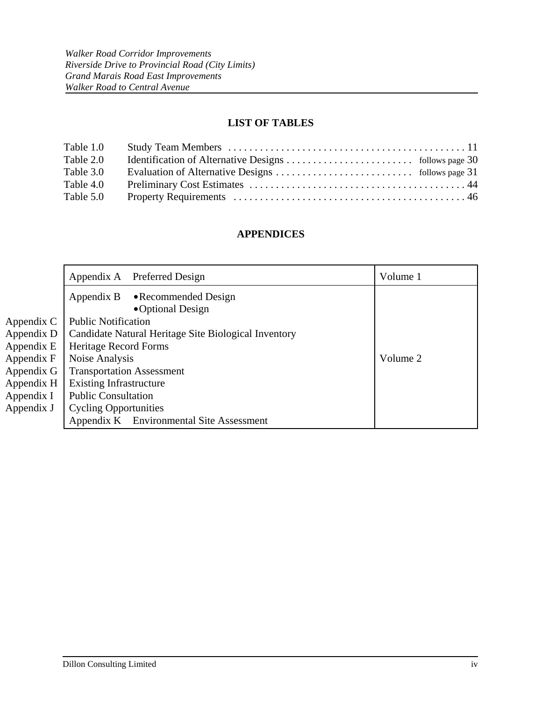# **LIST OF TABLES**

| Table 1.0 |  |
|-----------|--|
| Table 2.0 |  |
| Table 3.0 |  |
| Table 4.0 |  |
| Table 5.0 |  |

# **APPENDICES**

|            | Appendix A Preferred Design                          | Volume 1 |  |
|------------|------------------------------------------------------|----------|--|
|            | Appendix B<br>• Recommended Design                   |          |  |
|            | •Optional Design                                     |          |  |
| Appendix C | <b>Public Notification</b>                           |          |  |
| Appendix D | Candidate Natural Heritage Site Biological Inventory |          |  |
| Appendix E | Heritage Record Forms                                |          |  |
| Appendix F | Noise Analysis                                       | Volume 2 |  |
| Appendix G | <b>Transportation Assessment</b>                     |          |  |
| Appendix H | <b>Existing Infrastructure</b>                       |          |  |
| Appendix I | <b>Public Consultation</b>                           |          |  |
| Appendix J | <b>Cycling Opportunities</b>                         |          |  |
|            | Appendix K Environmental Site Assessment             |          |  |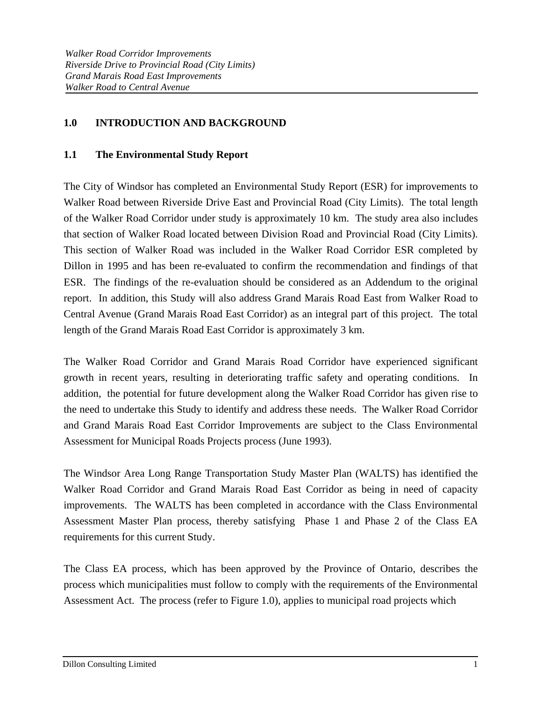## **1.0 INTRODUCTION AND BACKGROUND**

## **1.1 The Environmental Study Report**

The City of Windsor has completed an Environmental Study Report (ESR) for improvements to Walker Road between Riverside Drive East and Provincial Road (City Limits). The total length of the Walker Road Corridor under study is approximately 10 km. The study area also includes that section of Walker Road located between Division Road and Provincial Road (City Limits). This section of Walker Road was included in the Walker Road Corridor ESR completed by Dillon in 1995 and has been re-evaluated to confirm the recommendation and findings of that ESR. The findings of the re-evaluation should be considered as an Addendum to the original report. In addition, this Study will also address Grand Marais Road East from Walker Road to Central Avenue (Grand Marais Road East Corridor) as an integral part of this project. The total length of the Grand Marais Road East Corridor is approximately 3 km.

The Walker Road Corridor and Grand Marais Road Corridor have experienced significant growth in recent years, resulting in deteriorating traffic safety and operating conditions. In addition, the potential for future development along the Walker Road Corridor has given rise to the need to undertake this Study to identify and address these needs. The Walker Road Corridor and Grand Marais Road East Corridor Improvements are subject to the Class Environmental Assessment for Municipal Roads Projects process (June 1993).

The Windsor Area Long Range Transportation Study Master Plan (WALTS) has identified the Walker Road Corridor and Grand Marais Road East Corridor as being in need of capacity improvements. The WALTS has been completed in accordance with the Class Environmental Assessment Master Plan process, thereby satisfying Phase 1 and Phase 2 of the Class EA requirements for this current Study.

The Class EA process, which has been approved by the Province of Ontario, describes the process which municipalities must follow to comply with the requirements of the Environmental Assessment Act. The process (refer to Figure 1.0), applies to municipal road projects which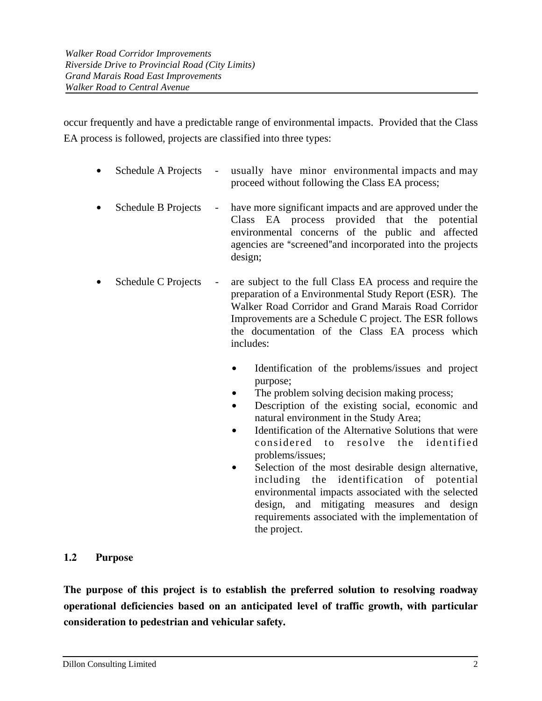occur frequently and have a predictable range of environmental impacts. Provided that the Class EA process is followed, projects are classified into three types:

- Schedule A Projects usually have minor environmental impacts and may proceed without following the Class EA process;
- Schedule B Projects have more significant impacts and are approved under the Class EA process provided that the potential environmental concerns of the public and affected agencies are "screened" and incorporated into the projects design;
- Schedule C Projects are subject to the full Class EA process and require the preparation of a Environmental Study Report (ESR). The Walker Road Corridor and Grand Marais Road Corridor Improvements are a Schedule C project. The ESR follows the documentation of the Class EA process which includes:
	- Identification of the problems/issues and project purpose;
	- The problem solving decision making process;
	- Description of the existing social, economic and natural environment in the Study Area;
	- $\bullet$  Identification of the Alternative Solutions that were considered to resolve the identified problems/issues;
	- Selection of the most desirable design alternative, including the identification of potential environmental impacts associated with the selected design, and mitigating measures and design requirements associated with the implementation of the project.

# **1.2 Purpose**

**The purpose of this project is to establish the preferred solution to resolving roadway operational deficiencies based on an anticipated level of traffic growth, with particular consideration to pedestrian and vehicular safety.**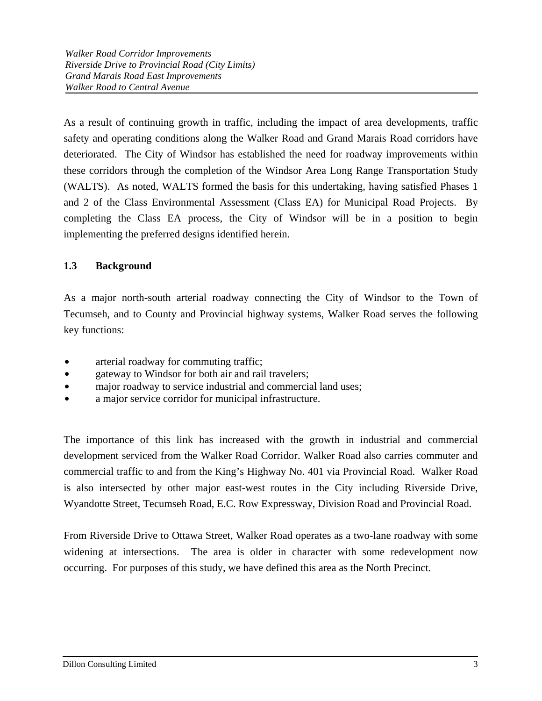As a result of continuing growth in traffic, including the impact of area developments, traffic safety and operating conditions along the Walker Road and Grand Marais Road corridors have deteriorated. The City of Windsor has established the need for roadway improvements within these corridors through the completion of the Windsor Area Long Range Transportation Study (WALTS). As noted, WALTS formed the basis for this undertaking, having satisfied Phases 1 and 2 of the Class Environmental Assessment (Class EA) for Municipal Road Projects. By completing the Class EA process, the City of Windsor will be in a position to begin implementing the preferred designs identified herein.

# **1.3 Background**

As a major north-south arterial roadway connecting the City of Windsor to the Town of Tecumseh, and to County and Provincial highway systems, Walker Road serves the following key functions:

- arterial roadway for commuting traffic;
- gateway to Windsor for both air and rail travelers;
- major roadway to service industrial and commercial land uses;
- a major service corridor for municipal infrastructure.

The importance of this link has increased with the growth in industrial and commercial development serviced from the Walker Road Corridor. Walker Road also carries commuter and commercial traffic to and from the King's Highway No. 401 via Provincial Road. Walker Road is also intersected by other major east-west routes in the City including Riverside Drive, Wyandotte Street, Tecumseh Road, E.C. Row Expressway, Division Road and Provincial Road.

From Riverside Drive to Ottawa Street, Walker Road operates as a two-lane roadway with some widening at intersections. The area is older in character with some redevelopment now occurring. For purposes of this study, we have defined this area as the North Precinct.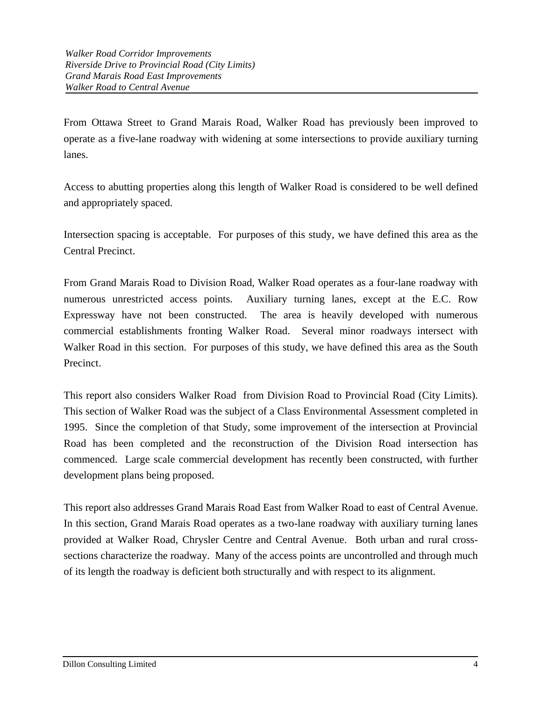From Ottawa Street to Grand Marais Road, Walker Road has previously been improved to operate as a five-lane roadway with widening at some intersections to provide auxiliary turning lanes.

Access to abutting properties along this length of Walker Road is considered to be well defined and appropriately spaced.

Intersection spacing is acceptable. For purposes of this study, we have defined this area as the Central Precinct.

From Grand Marais Road to Division Road, Walker Road operates as a four-lane roadway with numerous unrestricted access points. Auxiliary turning lanes, except at the E.C. Row Expressway have not been constructed. The area is heavily developed with numerous commercial establishments fronting Walker Road. Several minor roadways intersect with Walker Road in this section. For purposes of this study, we have defined this area as the South Precinct.

This report also considers Walker Road from Division Road to Provincial Road (City Limits). This section of Walker Road was the subject of a Class Environmental Assessment completed in 1995. Since the completion of that Study, some improvement of the intersection at Provincial Road has been completed and the reconstruction of the Division Road intersection has commenced. Large scale commercial development has recently been constructed, with further development plans being proposed.

This report also addresses Grand Marais Road East from Walker Road to east of Central Avenue. In this section, Grand Marais Road operates as a two-lane roadway with auxiliary turning lanes provided at Walker Road, Chrysler Centre and Central Avenue. Both urban and rural crosssections characterize the roadway. Many of the access points are uncontrolled and through much of its length the roadway is deficient both structurally and with respect to its alignment.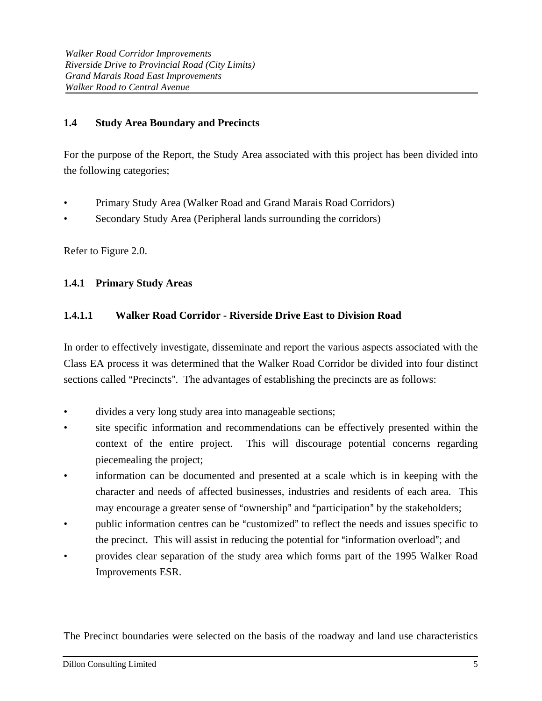## **1.4 Study Area Boundary and Precincts**

For the purpose of the Report, the Study Area associated with this project has been divided into the following categories;

- Primary Study Area (Walker Road and Grand Marais Road Corridors)
- Secondary Study Area (Peripheral lands surrounding the corridors)

Refer to Figure 2.0.

## **1.4.1 Primary Study Areas**

# **1.4.1.1 Walker Road Corridor - Riverside Drive East to Division Road**

In order to effectively investigate, disseminate and report the various aspects associated with the Class EA process it was determined that the Walker Road Corridor be divided into four distinct sections called "Precincts". The advantages of establishing the precincts are as follows:

- divides a very long study area into manageable sections;
- site specific information and recommendations can be effectively presented within the context of the entire project. This will discourage potential concerns regarding piecemealing the project;
- information can be documented and presented at a scale which is in keeping with the character and needs of affected businesses, industries and residents of each area. This may encourage a greater sense of "ownership" and "participation" by the stakeholders;
- public information centres can be "customized" to reflect the needs and issues specific to the precinct. This will assist in reducing the potential for "information overload"; and
- provides clear separation of the study area which forms part of the 1995 Walker Road Improvements ESR.

The Precinct boundaries were selected on the basis of the roadway and land use characteristics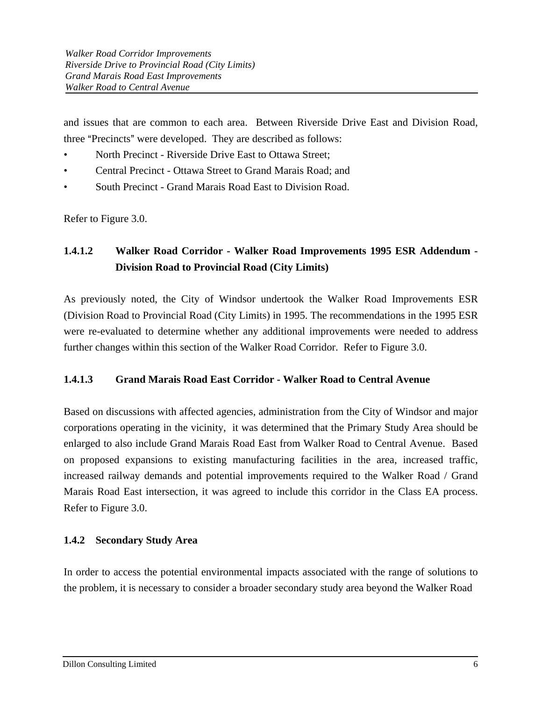and issues that are common to each area. Between Riverside Drive East and Division Road, three "Precincts" were developed. They are described as follows:

- North Precinct Riverside Drive East to Ottawa Street;
- Central Precinct Ottawa Street to Grand Marais Road; and
- South Precinct Grand Marais Road East to Division Road.

Refer to Figure 3.0.

# **1.4.1.2 Walker Road Corridor - Walker Road Improvements 1995 ESR Addendum - Division Road to Provincial Road (City Limits)**

As previously noted, the City of Windsor undertook the Walker Road Improvements ESR (Division Road to Provincial Road (City Limits) in 1995. The recommendations in the 1995 ESR were re-evaluated to determine whether any additional improvements were needed to address further changes within this section of the Walker Road Corridor. Refer to Figure 3.0.

## **1.4.1.3 Grand Marais Road East Corridor - Walker Road to Central Avenue**

Based on discussions with affected agencies, administration from the City of Windsor and major corporations operating in the vicinity, it was determined that the Primary Study Area should be enlarged to also include Grand Marais Road East from Walker Road to Central Avenue. Based on proposed expansions to existing manufacturing facilities in the area, increased traffic, increased railway demands and potential improvements required to the Walker Road / Grand Marais Road East intersection, it was agreed to include this corridor in the Class EA process. Refer to Figure 3.0.

## **1.4.2 Secondary Study Area**

In order to access the potential environmental impacts associated with the range of solutions to the problem, it is necessary to consider a broader secondary study area beyond the Walker Road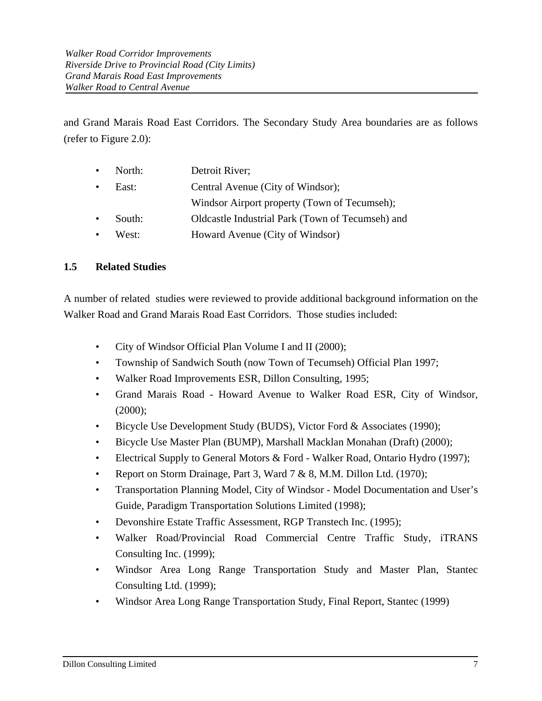and Grand Marais Road East Corridors. The Secondary Study Area boundaries are as follows (refer to Figure 2.0):

|           | • North: | Detroit River;                                   |
|-----------|----------|--------------------------------------------------|
| $\bullet$ | East:    | Central Avenue (City of Windsor);                |
|           |          | Windsor Airport property (Town of Tecumseh);     |
| $\bullet$ | South:   | Oldcastle Industrial Park (Town of Tecumseh) and |
| $\bullet$ | West:    | Howard Avenue (City of Windsor)                  |

## **1.5 Related Studies**

A number of related studies were reviewed to provide additional background information on the Walker Road and Grand Marais Road East Corridors. Those studies included:

- City of Windsor Official Plan Volume I and II (2000);
- Township of Sandwich South (now Town of Tecumseh) Official Plan 1997;
- Walker Road Improvements ESR, Dillon Consulting, 1995;
- Grand Marais Road Howard Avenue to Walker Road ESR, City of Windsor,  $(2000)$ ;
- Bicycle Use Development Study (BUDS), Victor Ford & Associates (1990);
- Bicycle Use Master Plan (BUMP), Marshall Macklan Monahan (Draft) (2000);
- Electrical Supply to General Motors & Ford Walker Road, Ontario Hydro (1997);
- Report on Storm Drainage, Part 3, Ward 7 & 8, M.M. Dillon Ltd. (1970):
- Transportation Planning Model, City of Windsor Model Documentation and User's Guide, Paradigm Transportation Solutions Limited (1998);
- Devonshire Estate Traffic Assessment, RGP Transtech Inc. (1995);
- Walker Road/Provincial Road Commercial Centre Traffic Study, iTRANS Consulting Inc. (1999);
- Windsor Area Long Range Transportation Study and Master Plan, Stantec Consulting Ltd. (1999);
- Windsor Area Long Range Transportation Study, Final Report, Stantec (1999)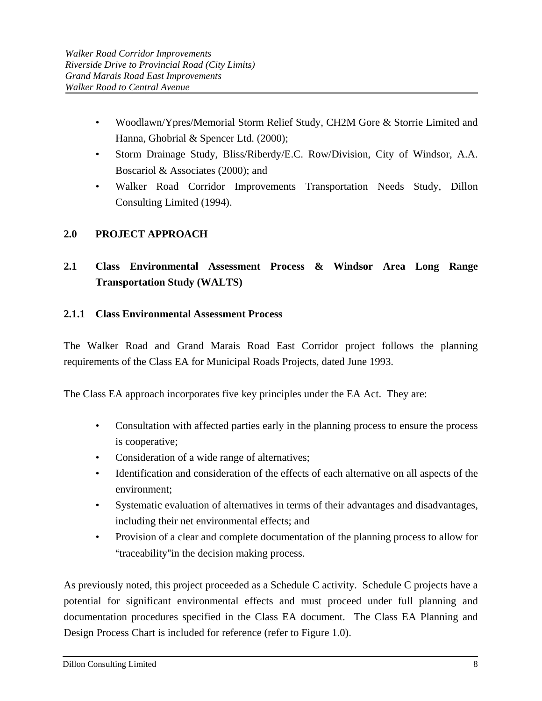- Woodlawn/Ypres/Memorial Storm Relief Study, CH2M Gore & Storrie Limited and Hanna, Ghobrial & Spencer Ltd. (2000);
- Storm Drainage Study, Bliss/Riberdy/E.C. Row/Division, City of Windsor, A.A. Boscariol & Associates (2000); and
- Walker Road Corridor Improvements Transportation Needs Study, Dillon Consulting Limited (1994).

# **2.0 PROJECT APPROACH**

# **2.1 Class Environmental Assessment Process & Windsor Area Long Range Transportation Study (WALTS)**

## **2.1.1 Class Environmental Assessment Process**

The Walker Road and Grand Marais Road East Corridor project follows the planning requirements of the Class EA for Municipal Roads Projects, dated June 1993.

The Class EA approach incorporates five key principles under the EA Act. They are:

- Consultation with affected parties early in the planning process to ensure the process is cooperative;
- Consideration of a wide range of alternatives;
- Identification and consideration of the effects of each alternative on all aspects of the environment;
- Systematic evaluation of alternatives in terms of their advantages and disadvantages, including their net environmental effects; and
- Provision of a clear and complete documentation of the planning process to allow for "traceability" in the decision making process.

As previously noted, this project proceeded as a Schedule C activity. Schedule C projects have a potential for significant environmental effects and must proceed under full planning and documentation procedures specified in the Class EA document. The Class EA Planning and Design Process Chart is included for reference (refer to Figure 1.0).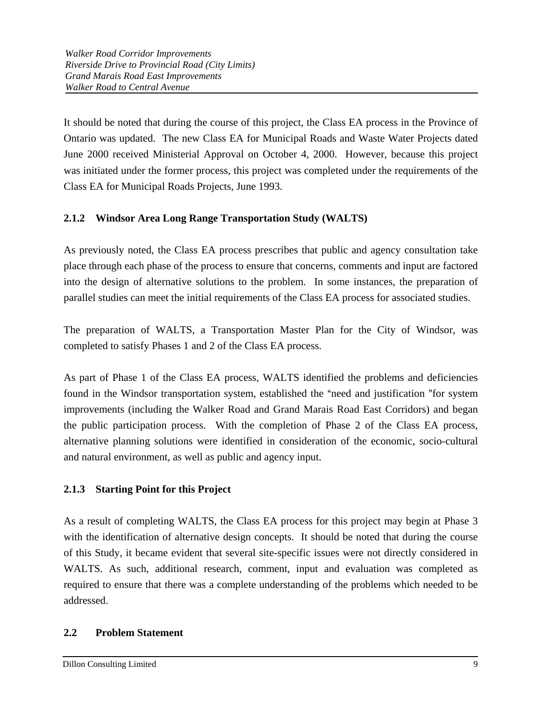It should be noted that during the course of this project, the Class EA process in the Province of Ontario was updated. The new Class EA for Municipal Roads and Waste Water Projects dated June 2000 received Ministerial Approval on October 4, 2000. However, because this project was initiated under the former process, this project was completed under the requirements of the Class EA for Municipal Roads Projects, June 1993.

# **2.1.2 Windsor Area Long Range Transportation Study (WALTS)**

As previously noted, the Class EA process prescribes that public and agency consultation take place through each phase of the process to ensure that concerns, comments and input are factored into the design of alternative solutions to the problem. In some instances, the preparation of parallel studies can meet the initial requirements of the Class EA process for associated studies.

The preparation of WALTS, a Transportation Master Plan for the City of Windsor, was completed to satisfy Phases 1 and 2 of the Class EA process.

As part of Phase 1 of the Class EA process, WALTS identified the problems and deficiencies found in the Windsor transportation system, established the "need and justification "for system improvements (including the Walker Road and Grand Marais Road East Corridors) and began the public participation process. With the completion of Phase 2 of the Class EA process, alternative planning solutions were identified in consideration of the economic, socio-cultural and natural environment, as well as public and agency input.

## **2.1.3 Starting Point for this Project**

As a result of completing WALTS, the Class EA process for this project may begin at Phase 3 with the identification of alternative design concepts. It should be noted that during the course of this Study, it became evident that several site-specific issues were not directly considered in WALTS. As such, additional research, comment, input and evaluation was completed as required to ensure that there was a complete understanding of the problems which needed to be addressed.

## **2.2 Problem Statement**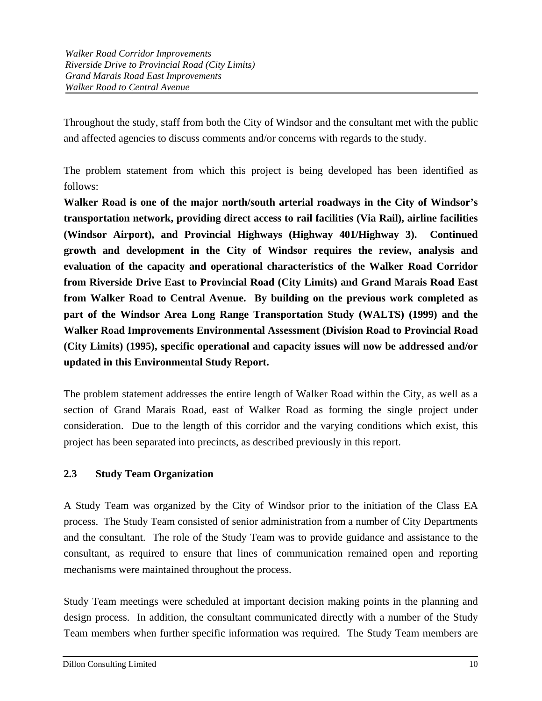Throughout the study, staff from both the City of Windsor and the consultant met with the public and affected agencies to discuss comments and/or concerns with regards to the study.

The problem statement from which this project is being developed has been identified as follows:

**Walker Road is one of the major north/south arterial roadways in the City of Windsor's transportation network, providing direct access to rail facilities (Via Rail), airline facilities (Windsor Airport), and Provincial Highways (Highway 401/Highway 3). Continued growth and development in the City of Windsor requires the review, analysis and evaluation of the capacity and operational characteristics of the Walker Road Corridor from Riverside Drive East to Provincial Road (City Limits) and Grand Marais Road East from Walker Road to Central Avenue. By building on the previous work completed as part of the Windsor Area Long Range Transportation Study (WALTS) (1999) and the Walker Road Improvements Environmental Assessment (Division Road to Provincial Road (City Limits) (1995), specific operational and capacity issues will now be addressed and/or updated in this Environmental Study Report.**

The problem statement addresses the entire length of Walker Road within the City, as well as a section of Grand Marais Road, east of Walker Road as forming the single project under consideration. Due to the length of this corridor and the varying conditions which exist, this project has been separated into precincts, as described previously in this report.

## **2.3 Study Team Organization**

A Study Team was organized by the City of Windsor prior to the initiation of the Class EA process. The Study Team consisted of senior administration from a number of City Departments and the consultant. The role of the Study Team was to provide guidance and assistance to the consultant, as required to ensure that lines of communication remained open and reporting mechanisms were maintained throughout the process.

Study Team meetings were scheduled at important decision making points in the planning and design process. In addition, the consultant communicated directly with a number of the Study Team members when further specific information was required. The Study Team members are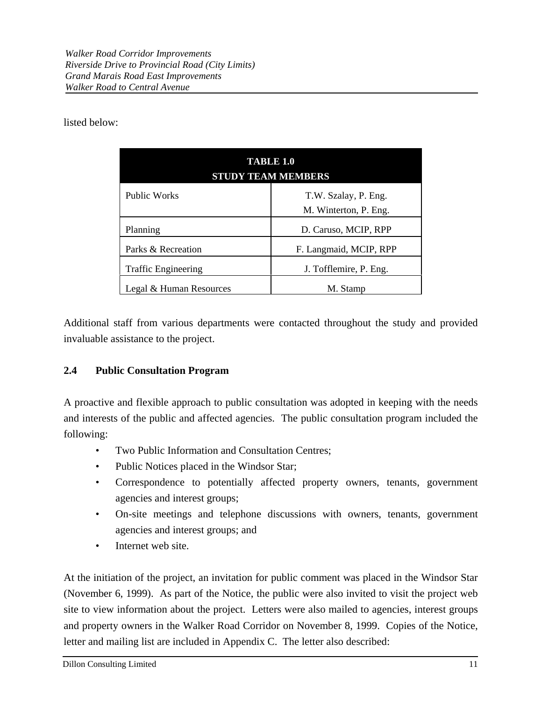listed below:

| <b>TABLE 1.0</b><br><b>STUDY TEAM MEMBERS</b> |                                               |  |  |
|-----------------------------------------------|-----------------------------------------------|--|--|
| <b>Public Works</b>                           | T.W. Szalay, P. Eng.<br>M. Winterton, P. Eng. |  |  |
| Planning                                      | D. Caruso, MCIP, RPP                          |  |  |
| Parks & Recreation                            | F. Langmaid, MCIP, RPP                        |  |  |
| <b>Traffic Engineering</b>                    | J. Tofflemire, P. Eng.                        |  |  |
| Legal & Human Resources                       | M. Stamp                                      |  |  |

Additional staff from various departments were contacted throughout the study and provided invaluable assistance to the project.

## **2.4 Public Consultation Program**

A proactive and flexible approach to public consultation was adopted in keeping with the needs and interests of the public and affected agencies. The public consultation program included the following:

- Two Public Information and Consultation Centres;
- Public Notices placed in the Windsor Star;
- Correspondence to potentially affected property owners, tenants, government agencies and interest groups;
- On-site meetings and telephone discussions with owners, tenants, government agencies and interest groups; and
- Internet web site.

At the initiation of the project, an invitation for public comment was placed in the Windsor Star (November 6, 1999). As part of the Notice, the public were also invited to visit the project web site to view information about the project. Letters were also mailed to agencies, interest groups and property owners in the Walker Road Corridor on November 8, 1999. Copies of the Notice, letter and mailing list are included in Appendix C. The letter also described: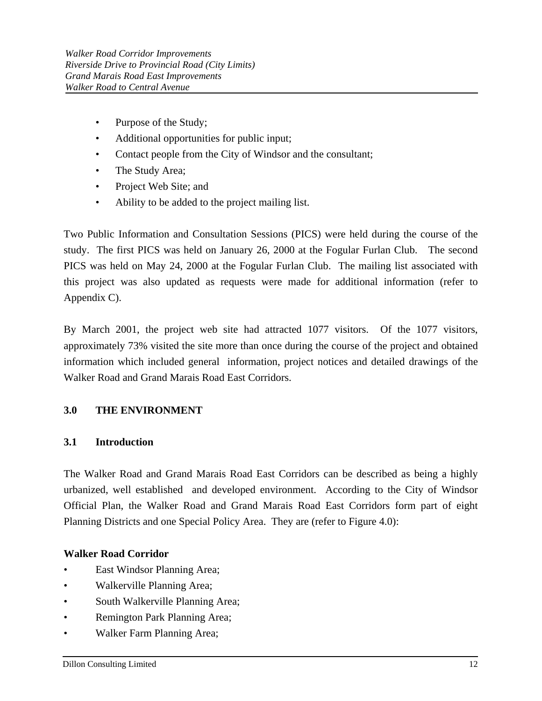- Purpose of the Study;
- Additional opportunities for public input;
- Contact people from the City of Windsor and the consultant;
- The Study Area;
- Project Web Site; and
- Ability to be added to the project mailing list.

Two Public Information and Consultation Sessions (PICS) were held during the course of the study. The first PICS was held on January 26, 2000 at the Fogular Furlan Club. The second PICS was held on May 24, 2000 at the Fogular Furlan Club. The mailing list associated with this project was also updated as requests were made for additional information (refer to Appendix C).

By March 2001, the project web site had attracted 1077 visitors. Of the 1077 visitors, approximately 73% visited the site more than once during the course of the project and obtained information which included general information, project notices and detailed drawings of the Walker Road and Grand Marais Road East Corridors.

## **3.0 THE ENVIRONMENT**

### **3.1 Introduction**

The Walker Road and Grand Marais Road East Corridors can be described as being a highly urbanized, well established and developed environment. According to the City of Windsor Official Plan, the Walker Road and Grand Marais Road East Corridors form part of eight Planning Districts and one Special Policy Area. They are (refer to Figure 4.0):

## **Walker Road Corridor**

- East Windsor Planning Area;
- Walkerville Planning Area;
- South Walkerville Planning Area;
- Remington Park Planning Area;
- Walker Farm Planning Area;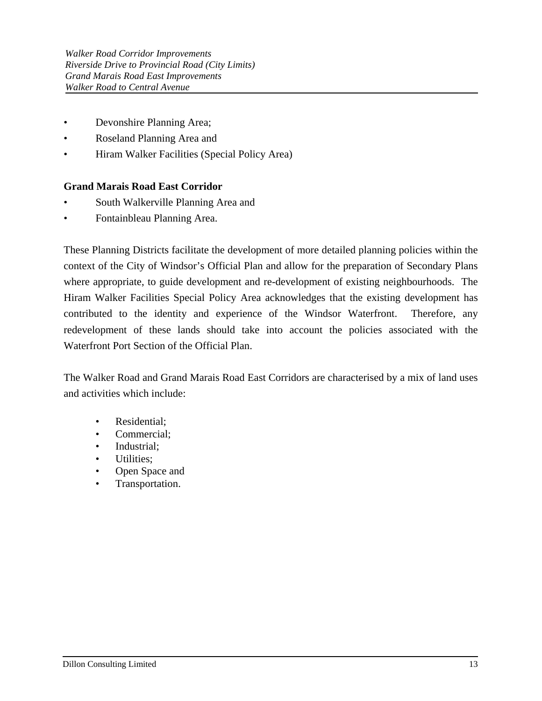- Devonshire Planning Area;
- Roseland Planning Area and
- Hiram Walker Facilities (Special Policy Area)

## **Grand Marais Road East Corridor**

- South Walkerville Planning Area and
- Fontainbleau Planning Area.

These Planning Districts facilitate the development of more detailed planning policies within the context of the City of Windsor's Official Plan and allow for the preparation of Secondary Plans where appropriate, to guide development and re-development of existing neighbourhoods. The Hiram Walker Facilities Special Policy Area acknowledges that the existing development has contributed to the identity and experience of the Windsor Waterfront. Therefore, any redevelopment of these lands should take into account the policies associated with the Waterfront Port Section of the Official Plan.

The Walker Road and Grand Marais Road East Corridors are characterised by a mix of land uses and activities which include:

- Residential;
- Commercial;
- Industrial:
- Utilities;
- Open Space and
- Transportation.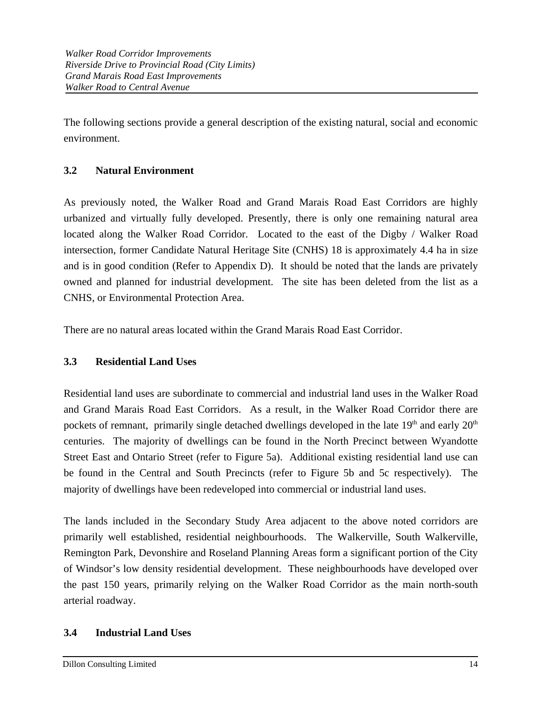The following sections provide a general description of the existing natural, social and economic environment.

# **3.2 Natural Environment**

As previously noted, the Walker Road and Grand Marais Road East Corridors are highly urbanized and virtually fully developed. Presently, there is only one remaining natural area located along the Walker Road Corridor. Located to the east of the Digby / Walker Road intersection, former Candidate Natural Heritage Site (CNHS) 18 is approximately 4.4 ha in size and is in good condition (Refer to Appendix D). It should be noted that the lands are privately owned and planned for industrial development. The site has been deleted from the list as a CNHS, or Environmental Protection Area.

There are no natural areas located within the Grand Marais Road East Corridor.

## **3.3 Residential Land Uses**

Residential land uses are subordinate to commercial and industrial land uses in the Walker Road and Grand Marais Road East Corridors. As a result, in the Walker Road Corridor there are pockets of remnant, primarily single detached dwellings developed in the late  $19<sup>th</sup>$  and early  $20<sup>th</sup>$ centuries. The majority of dwellings can be found in the North Precinct between Wyandotte Street East and Ontario Street (refer to Figure 5a). Additional existing residential land use can be found in the Central and South Precincts (refer to Figure 5b and 5c respectively). The majority of dwellings have been redeveloped into commercial or industrial land uses.

The lands included in the Secondary Study Area adjacent to the above noted corridors are primarily well established, residential neighbourhoods. The Walkerville, South Walkerville, Remington Park, Devonshire and Roseland Planning Areas form a significant portion of the City of Windsor's low density residential development. These neighbourhoods have developed over the past 150 years, primarily relying on the Walker Road Corridor as the main north-south arterial roadway.

## **3.4 Industrial Land Uses**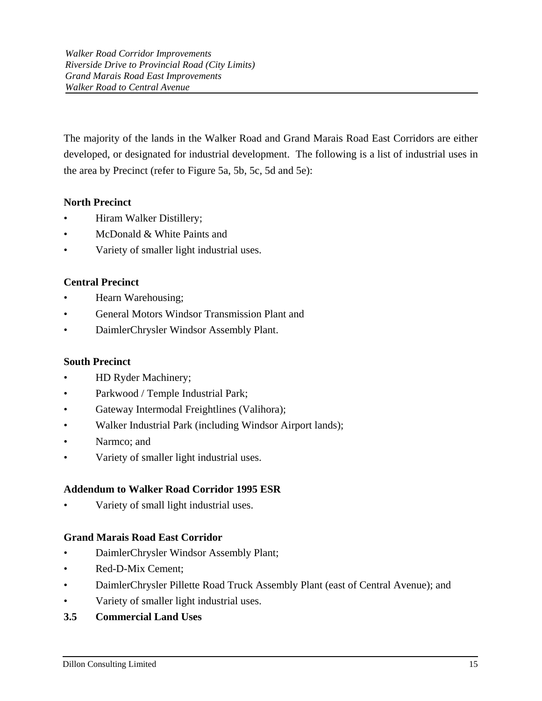The majority of the lands in the Walker Road and Grand Marais Road East Corridors are either developed, or designated for industrial development. The following is a list of industrial uses in the area by Precinct (refer to Figure 5a, 5b, 5c, 5d and 5e):

# **North Precinct**

- Hiram Walker Distillery;
- McDonald & White Paints and
- Variety of smaller light industrial uses.

# **Central Precinct**

- Hearn Warehousing;
- General Motors Windsor Transmission Plant and
- DaimlerChrysler Windsor Assembly Plant.

## **South Precinct**

- HD Ryder Machinery;
- Parkwood / Temple Industrial Park;
- Gateway Intermodal Freightlines (Valihora);
- Walker Industrial Park (including Windsor Airport lands);
- Narmco; and
- Variety of smaller light industrial uses.

## **Addendum to Walker Road Corridor 1995 ESR**

• Variety of small light industrial uses.

## **Grand Marais Road East Corridor**

- DaimlerChrysler Windsor Assembly Plant;
- Red-D-Mix Cement;
- DaimlerChrysler Pillette Road Truck Assembly Plant (east of Central Avenue); and
- Variety of smaller light industrial uses.
- **3.5 Commercial Land Uses**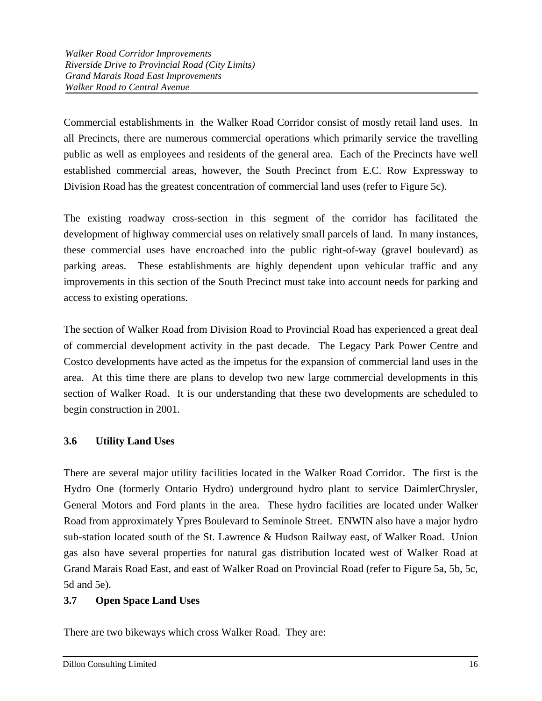Commercial establishments in the Walker Road Corridor consist of mostly retail land uses. In all Precincts, there are numerous commercial operations which primarily service the travelling public as well as employees and residents of the general area. Each of the Precincts have well established commercial areas, however, the South Precinct from E.C. Row Expressway to Division Road has the greatest concentration of commercial land uses (refer to Figure 5c).

The existing roadway cross-section in this segment of the corridor has facilitated the development of highway commercial uses on relatively small parcels of land. In many instances, these commercial uses have encroached into the public right-of-way (gravel boulevard) as parking areas. These establishments are highly dependent upon vehicular traffic and any improvements in this section of the South Precinct must take into account needs for parking and access to existing operations.

The section of Walker Road from Division Road to Provincial Road has experienced a great deal of commercial development activity in the past decade. The Legacy Park Power Centre and Costco developments have acted as the impetus for the expansion of commercial land uses in the area. At this time there are plans to develop two new large commercial developments in this section of Walker Road. It is our understanding that these two developments are scheduled to begin construction in 2001.

# **3.6 Utility Land Uses**

There are several major utility facilities located in the Walker Road Corridor. The first is the Hydro One (formerly Ontario Hydro) underground hydro plant to service DaimlerChrysler, General Motors and Ford plants in the area. These hydro facilities are located under Walker Road from approximately Ypres Boulevard to Seminole Street. ENWIN also have a major hydro sub-station located south of the St. Lawrence & Hudson Railway east, of Walker Road. Union gas also have several properties for natural gas distribution located west of Walker Road at Grand Marais Road East, and east of Walker Road on Provincial Road (refer to Figure 5a, 5b, 5c, 5d and 5e).

## **3.7 Open Space Land Uses**

ı

There are two bikeways which cross Walker Road. They are: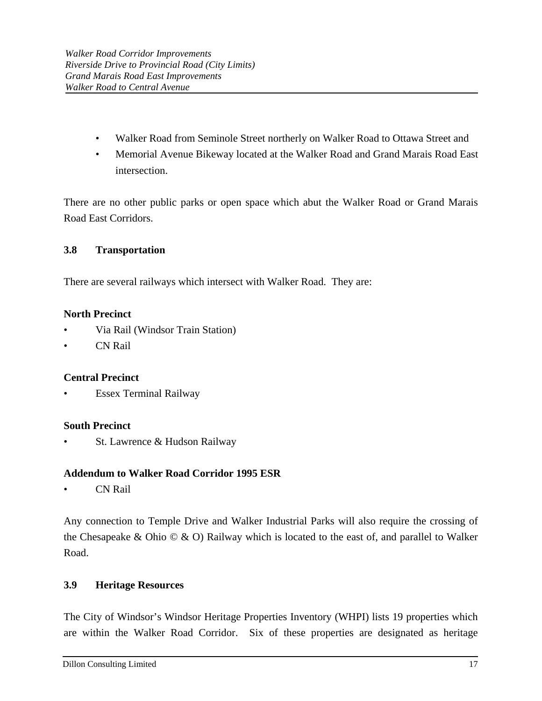- Walker Road from Seminole Street northerly on Walker Road to Ottawa Street and
- Memorial Avenue Bikeway located at the Walker Road and Grand Marais Road East intersection.

There are no other public parks or open space which abut the Walker Road or Grand Marais Road East Corridors.

# **3.8 Transportation**

There are several railways which intersect with Walker Road. They are:

## **North Precinct**

- Via Rail (Windsor Train Station)
- CN Rail

## **Central Precinct**

• Essex Terminal Railway

## **South Precinct**

St. Lawrence & Hudson Railway

## **Addendum to Walker Road Corridor 1995 ESR**

• CN Rail

Any connection to Temple Drive and Walker Industrial Parks will also require the crossing of the Chesapeake & Ohio  $\odot$  & O) Railway which is located to the east of, and parallel to Walker Road.

# **3.9 Heritage Resources**

ı

The City of Windsor's Windsor Heritage Properties Inventory (WHPI) lists 19 properties which are within the Walker Road Corridor. Six of these properties are designated as heritage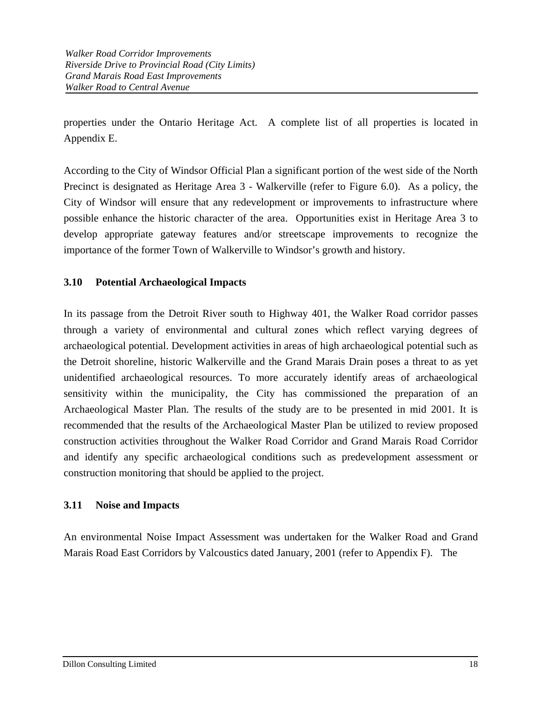properties under the Ontario Heritage Act. A complete list of all properties is located in Appendix E.

According to the City of Windsor Official Plan a significant portion of the west side of the North Precinct is designated as Heritage Area 3 - Walkerville (refer to Figure 6.0). As a policy, the City of Windsor will ensure that any redevelopment or improvements to infrastructure where possible enhance the historic character of the area. Opportunities exist in Heritage Area 3 to develop appropriate gateway features and/or streetscape improvements to recognize the importance of the former Town of Walkerville to Windsor's growth and history.

## **3.10 Potential Archaeological Impacts**

In its passage from the Detroit River south to Highway 401, the Walker Road corridor passes through a variety of environmental and cultural zones which reflect varying degrees of archaeological potential. Development activities in areas of high archaeological potential such as the Detroit shoreline, historic Walkerville and the Grand Marais Drain poses a threat to as yet unidentified archaeological resources. To more accurately identify areas of archaeological sensitivity within the municipality, the City has commissioned the preparation of an Archaeological Master Plan. The results of the study are to be presented in mid 2001. It is recommended that the results of the Archaeological Master Plan be utilized to review proposed construction activities throughout the Walker Road Corridor and Grand Marais Road Corridor and identify any specific archaeological conditions such as predevelopment assessment or construction monitoring that should be applied to the project.

## **3.11 Noise and Impacts**

An environmental Noise Impact Assessment was undertaken for the Walker Road and Grand Marais Road East Corridors by Valcoustics dated January, 2001 (refer to Appendix F). The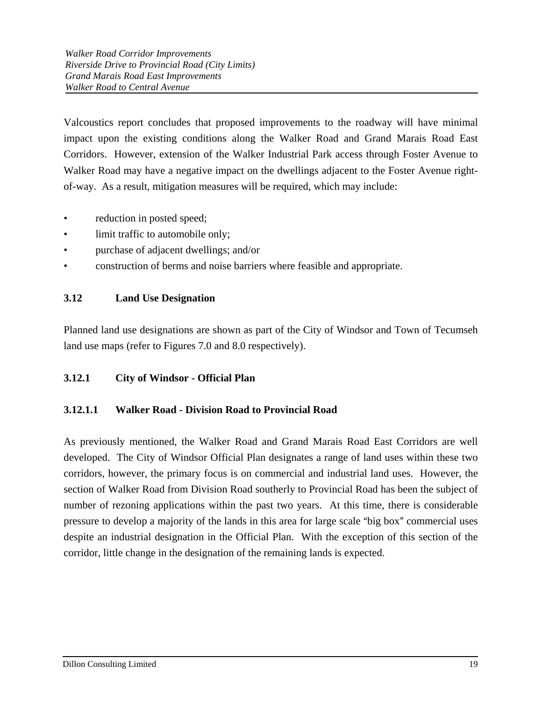Valcoustics report concludes that proposed improvements to the roadway will have minimal impact upon the existing conditions along the Walker Road and Grand Marais Road East Corridors. However, extension of the Walker Industrial Park access through Foster Avenue to Walker Road may have a negative impact on the dwellings adjacent to the Foster Avenue rightof-way. As a result, mitigation measures will be required, which may include:

- reduction in posted speed;
- limit traffic to automobile only;
- purchase of adjacent dwellings; and/or
- construction of berms and noise barriers where feasible and appropriate.

## **3.12 Land Use Designation**

Planned land use designations are shown as part of the City of Windsor and Town of Tecumseh land use maps (refer to Figures 7.0 and 8.0 respectively).

## **3.12.1 City of Windsor - Official Plan**

## **3.12.1.1 Walker Road - Division Road to Provincial Road**

As previously mentioned, the Walker Road and Grand Marais Road East Corridors are well developed. The City of Windsor Official Plan designates a range of land uses within these two corridors, however, the primary focus is on commercial and industrial land uses. However, the section of Walker Road from Division Road southerly to Provincial Road has been the subject of number of rezoning applications within the past two years. At this time, there is considerable pressure to develop a majority of the lands in this area for large scale "big box" commercial uses despite an industrial designation in the Official Plan. With the exception of this section of the corridor, little change in the designation of the remaining lands is expected.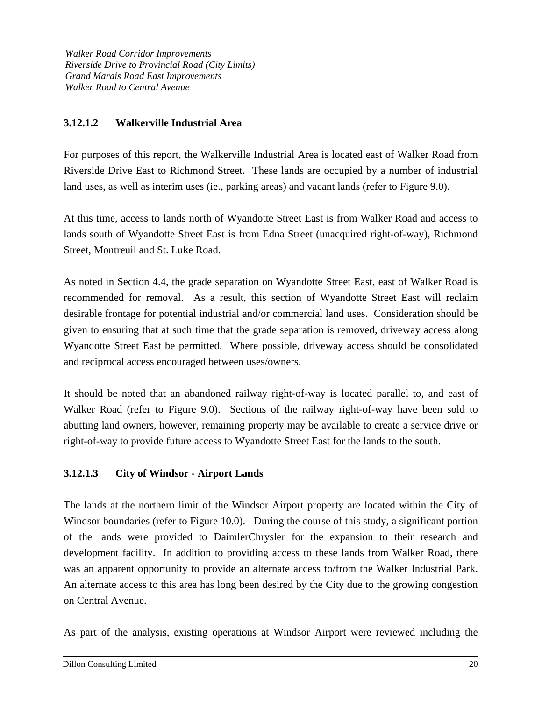# **3.12.1.2 Walkerville Industrial Area**

For purposes of this report, the Walkerville Industrial Area is located east of Walker Road from Riverside Drive East to Richmond Street. These lands are occupied by a number of industrial land uses, as well as interim uses (ie., parking areas) and vacant lands (refer to Figure 9.0).

At this time, access to lands north of Wyandotte Street East is from Walker Road and access to lands south of Wyandotte Street East is from Edna Street (unacquired right-of-way), Richmond Street, Montreuil and St. Luke Road.

As noted in Section 4.4, the grade separation on Wyandotte Street East, east of Walker Road is recommended for removal. As a result, this section of Wyandotte Street East will reclaim desirable frontage for potential industrial and/or commercial land uses. Consideration should be given to ensuring that at such time that the grade separation is removed, driveway access along Wyandotte Street East be permitted. Where possible, driveway access should be consolidated and reciprocal access encouraged between uses/owners.

It should be noted that an abandoned railway right-of-way is located parallel to, and east of Walker Road (refer to Figure 9.0). Sections of the railway right-of-way have been sold to abutting land owners, however, remaining property may be available to create a service drive or right-of-way to provide future access to Wyandotte Street East for the lands to the south.

## **3.12.1.3 City of Windsor - Airport Lands**

The lands at the northern limit of the Windsor Airport property are located within the City of Windsor boundaries (refer to Figure 10.0). During the course of this study, a significant portion of the lands were provided to DaimlerChrysler for the expansion to their research and development facility. In addition to providing access to these lands from Walker Road, there was an apparent opportunity to provide an alternate access to/from the Walker Industrial Park. An alternate access to this area has long been desired by the City due to the growing congestion on Central Avenue.

As part of the analysis, existing operations at Windsor Airport were reviewed including the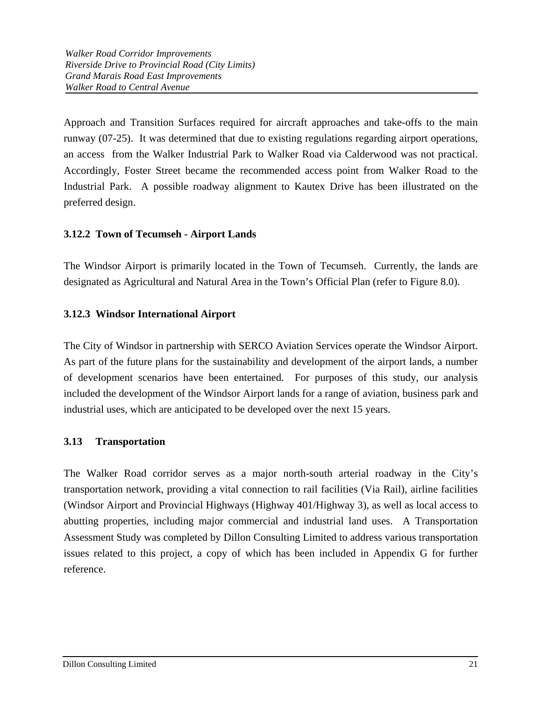Approach and Transition Surfaces required for aircraft approaches and take-offs to the main runway (07-25). It was determined that due to existing regulations regarding airport operations, an access from the Walker Industrial Park to Walker Road via Calderwood was not practical. Accordingly, Foster Street became the recommended access point from Walker Road to the Industrial Park. A possible roadway alignment to Kautex Drive has been illustrated on the preferred design.

## **3.12.2 Town of Tecumseh - Airport Lands**

The Windsor Airport is primarily located in the Town of Tecumseh. Currently, the lands are designated as Agricultural and Natural Area in the Town's Official Plan (refer to Figure 8.0).

# **3.12.3 Windsor International Airport**

The City of Windsor in partnership with SERCO Aviation Services operate the Windsor Airport. As part of the future plans for the sustainability and development of the airport lands, a number of development scenarios have been entertained. For purposes of this study, our analysis included the development of the Windsor Airport lands for a range of aviation, business park and industrial uses, which are anticipated to be developed over the next 15 years.

## **3.13 Transportation**

The Walker Road corridor serves as a major north-south arterial roadway in the City's transportation network, providing a vital connection to rail facilities (Via Rail), airline facilities (Windsor Airport and Provincial Highways (Highway 401/Highway 3), as well as local access to abutting properties, including major commercial and industrial land uses. A Transportation Assessment Study was completed by Dillon Consulting Limited to address various transportation issues related to this project, a copy of which has been included in Appendix G for further reference.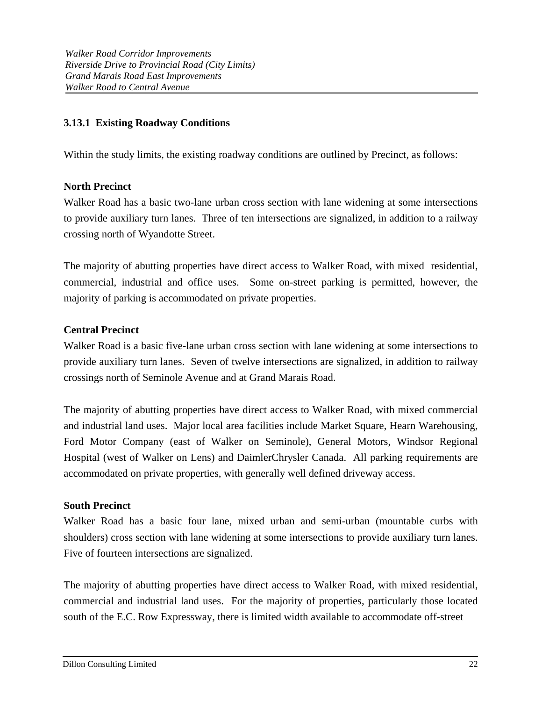## **3.13.1 Existing Roadway Conditions**

Within the study limits, the existing roadway conditions are outlined by Precinct, as follows:

## **North Precinct**

Walker Road has a basic two-lane urban cross section with lane widening at some intersections to provide auxiliary turn lanes. Three of ten intersections are signalized, in addition to a railway crossing north of Wyandotte Street.

The majority of abutting properties have direct access to Walker Road, with mixed residential, commercial, industrial and office uses. Some on-street parking is permitted, however, the majority of parking is accommodated on private properties.

## **Central Precinct**

Walker Road is a basic five-lane urban cross section with lane widening at some intersections to provide auxiliary turn lanes. Seven of twelve intersections are signalized, in addition to railway crossings north of Seminole Avenue and at Grand Marais Road.

The majority of abutting properties have direct access to Walker Road, with mixed commercial and industrial land uses. Major local area facilities include Market Square, Hearn Warehousing, Ford Motor Company (east of Walker on Seminole), General Motors, Windsor Regional Hospital (west of Walker on Lens) and DaimlerChrysler Canada. All parking requirements are accommodated on private properties, with generally well defined driveway access.

### **South Precinct**

Walker Road has a basic four lane, mixed urban and semi-urban (mountable curbs with shoulders) cross section with lane widening at some intersections to provide auxiliary turn lanes. Five of fourteen intersections are signalized.

The majority of abutting properties have direct access to Walker Road, with mixed residential, commercial and industrial land uses. For the majority of properties, particularly those located south of the E.C. Row Expressway, there is limited width available to accommodate off-street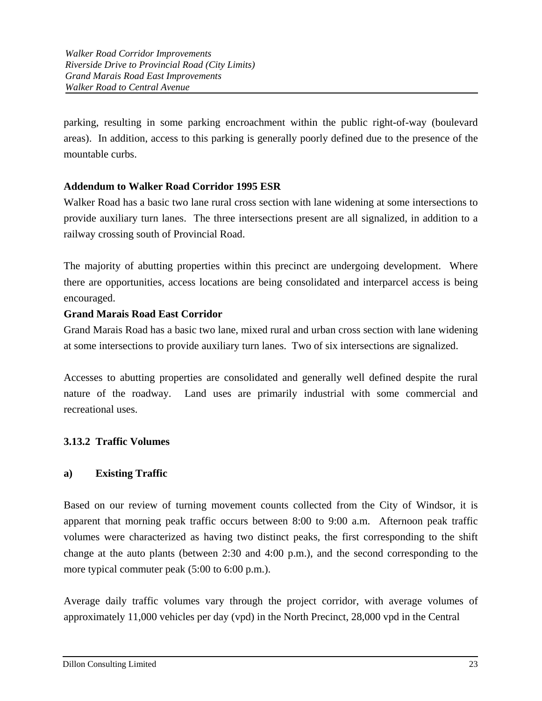parking, resulting in some parking encroachment within the public right-of-way (boulevard areas). In addition, access to this parking is generally poorly defined due to the presence of the mountable curbs.

## **Addendum to Walker Road Corridor 1995 ESR**

Walker Road has a basic two lane rural cross section with lane widening at some intersections to provide auxiliary turn lanes. The three intersections present are all signalized, in addition to a railway crossing south of Provincial Road.

The majority of abutting properties within this precinct are undergoing development. Where there are opportunities, access locations are being consolidated and interparcel access is being encouraged.

## **Grand Marais Road East Corridor**

Grand Marais Road has a basic two lane, mixed rural and urban cross section with lane widening at some intersections to provide auxiliary turn lanes. Two of six intersections are signalized.

Accesses to abutting properties are consolidated and generally well defined despite the rural nature of the roadway. Land uses are primarily industrial with some commercial and recreational uses.

## **3.13.2 Traffic Volumes**

### **a) Existing Traffic**

Based on our review of turning movement counts collected from the City of Windsor, it is apparent that morning peak traffic occurs between 8:00 to 9:00 a.m. Afternoon peak traffic volumes were characterized as having two distinct peaks, the first corresponding to the shift change at the auto plants (between 2:30 and 4:00 p.m.), and the second corresponding to the more typical commuter peak (5:00 to 6:00 p.m.).

Average daily traffic volumes vary through the project corridor, with average volumes of approximately 11,000 vehicles per day (vpd) in the North Precinct, 28,000 vpd in the Central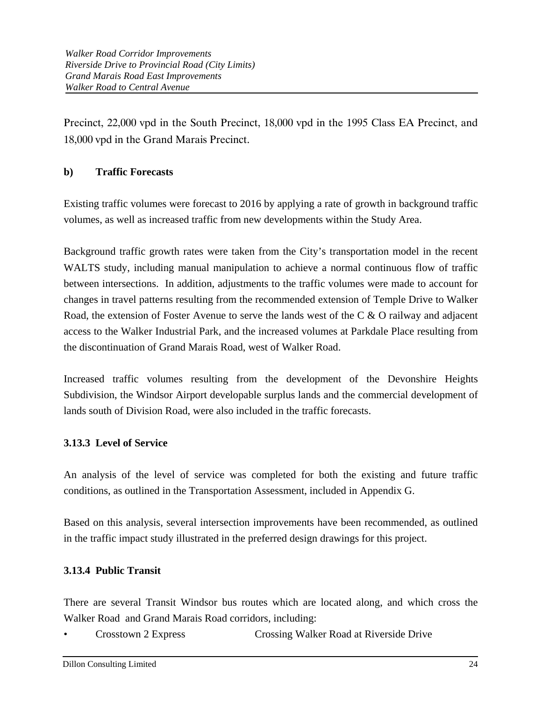Precinct, 22,000 vpd in the South Precinct, 18,000 vpd in the 1995 Class EA Precinct, and 18,000 vpd in the Grand Marais Precinct.

## **b) Traffic Forecasts**

Existing traffic volumes were forecast to 2016 by applying a rate of growth in background traffic volumes, as well as increased traffic from new developments within the Study Area.

Background traffic growth rates were taken from the City's transportation model in the recent WALTS study, including manual manipulation to achieve a normal continuous flow of traffic between intersections. In addition, adjustments to the traffic volumes were made to account for changes in travel patterns resulting from the recommended extension of Temple Drive to Walker Road, the extension of Foster Avenue to serve the lands west of the C & O railway and adjacent access to the Walker Industrial Park, and the increased volumes at Parkdale Place resulting from the discontinuation of Grand Marais Road, west of Walker Road.

Increased traffic volumes resulting from the development of the Devonshire Heights Subdivision, the Windsor Airport developable surplus lands and the commercial development of lands south of Division Road, were also included in the traffic forecasts.

# **3.13.3 Level of Service**

An analysis of the level of service was completed for both the existing and future traffic conditions, as outlined in the Transportation Assessment, included in Appendix G.

Based on this analysis, several intersection improvements have been recommended, as outlined in the traffic impact study illustrated in the preferred design drawings for this project.

## **3.13.4 Public Transit**

There are several Transit Windsor bus routes which are located along, and which cross the Walker Road and Grand Marais Road corridors, including:

• Crosstown 2 Express Crossing Walker Road at Riverside Drive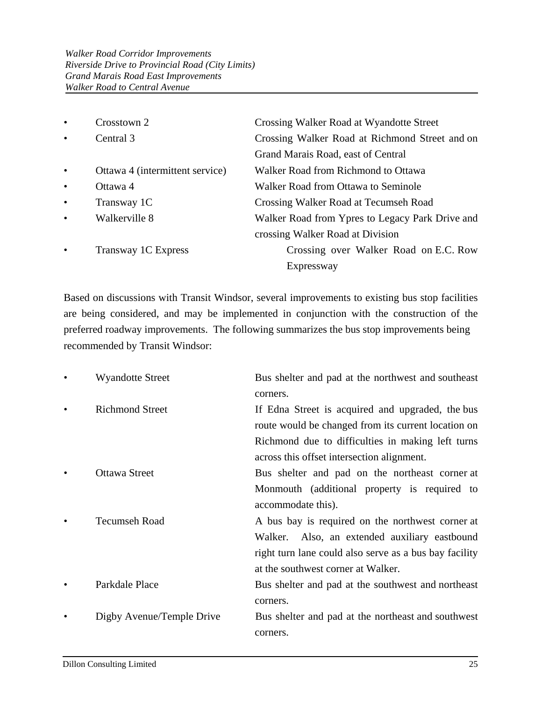| $\bullet$ | Crosstown 2                                                 | Crossing Walker Road at Wyandotte Street        |  |
|-----------|-------------------------------------------------------------|-------------------------------------------------|--|
| $\bullet$ | Central 3<br>Crossing Walker Road at Richmond Street and on |                                                 |  |
|           |                                                             | Grand Marais Road, east of Central              |  |
| $\bullet$ | Ottawa 4 (intermittent service)                             | Walker Road from Richmond to Ottawa             |  |
| $\bullet$ | Ottawa 4                                                    | Walker Road from Ottawa to Seminole             |  |
| $\bullet$ | Transway 1C                                                 | Crossing Walker Road at Tecumseh Road           |  |
| $\bullet$ | Walkerville 8                                               | Walker Road from Ypres to Legacy Park Drive and |  |
|           |                                                             | crossing Walker Road at Division                |  |
| $\bullet$ | Transway 1C Express                                         | Crossing over Walker Road on E.C. Row           |  |
|           |                                                             | Expressway                                      |  |

Based on discussions with Transit Windsor, several improvements to existing bus stop facilities are being considered, and may be implemented in conjunction with the construction of the preferred roadway improvements. The following summarizes the bus stop improvements being recommended by Transit Windsor:

| <b>Wyandotte Street</b>   | Bus shelter and pad at the northwest and southeast     |
|---------------------------|--------------------------------------------------------|
|                           | corners.                                               |
| <b>Richmond Street</b>    | If Edna Street is acquired and upgraded, the bus       |
|                           | route would be changed from its current location on    |
|                           | Richmond due to difficulties in making left turns      |
|                           | across this offset intersection alignment.             |
| <b>Ottawa Street</b>      | Bus shelter and pad on the northeast corner at         |
|                           | Monmouth (additional property is required to           |
|                           | accommodate this).                                     |
| <b>Tecumseh Road</b>      | A bus bay is required on the northwest corner at       |
|                           | Also, an extended auxiliary eastbound<br>Walker.       |
|                           | right turn lane could also serve as a bus bay facility |
|                           | at the southwest corner at Walker.                     |
| Parkdale Place            | Bus shelter and pad at the southwest and northeast     |
|                           | corners.                                               |
| Digby Avenue/Temple Drive | Bus shelter and pad at the northeast and southwest     |
|                           | corners.                                               |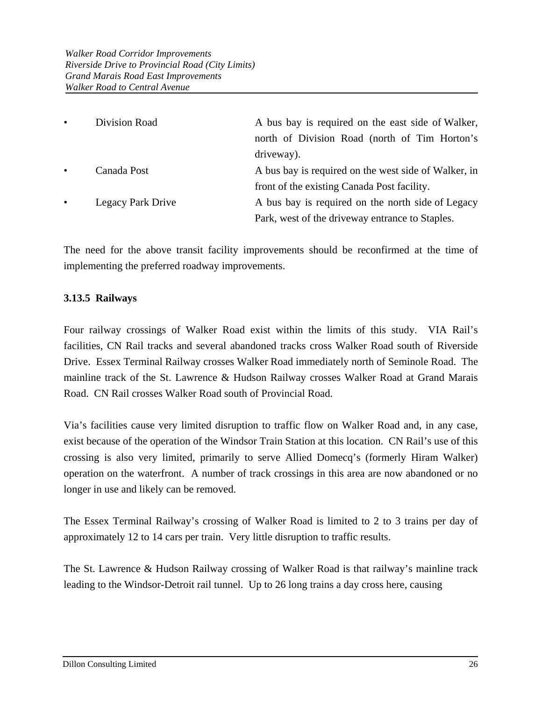| $\bullet$ | Division Road     | A bus bay is required on the east side of Walker,    |
|-----------|-------------------|------------------------------------------------------|
|           |                   | north of Division Road (north of Tim Horton's        |
|           |                   | driveway).                                           |
| $\bullet$ | Canada Post       | A bus bay is required on the west side of Walker, in |
|           |                   | front of the existing Canada Post facility.          |
| $\bullet$ | Legacy Park Drive | A bus bay is required on the north side of Legacy    |
|           |                   | Park, west of the driveway entrance to Staples.      |

The need for the above transit facility improvements should be reconfirmed at the time of implementing the preferred roadway improvements.

## **3.13.5 Railways**

Four railway crossings of Walker Road exist within the limits of this study. VIA Rail's facilities, CN Rail tracks and several abandoned tracks cross Walker Road south of Riverside Drive. Essex Terminal Railway crosses Walker Road immediately north of Seminole Road. The mainline track of the St. Lawrence & Hudson Railway crosses Walker Road at Grand Marais Road. CN Rail crosses Walker Road south of Provincial Road.

Via's facilities cause very limited disruption to traffic flow on Walker Road and, in any case, exist because of the operation of the Windsor Train Station at this location. CN Rail's use of this crossing is also very limited, primarily to serve Allied Domecq's (formerly Hiram Walker) operation on the waterfront. A number of track crossings in this area are now abandoned or no longer in use and likely can be removed.

The Essex Terminal Railway's crossing of Walker Road is limited to 2 to 3 trains per day of approximately 12 to 14 cars per train. Very little disruption to traffic results.

The St. Lawrence & Hudson Railway crossing of Walker Road is that railway's mainline track leading to the Windsor-Detroit rail tunnel. Up to 26 long trains a day cross here, causing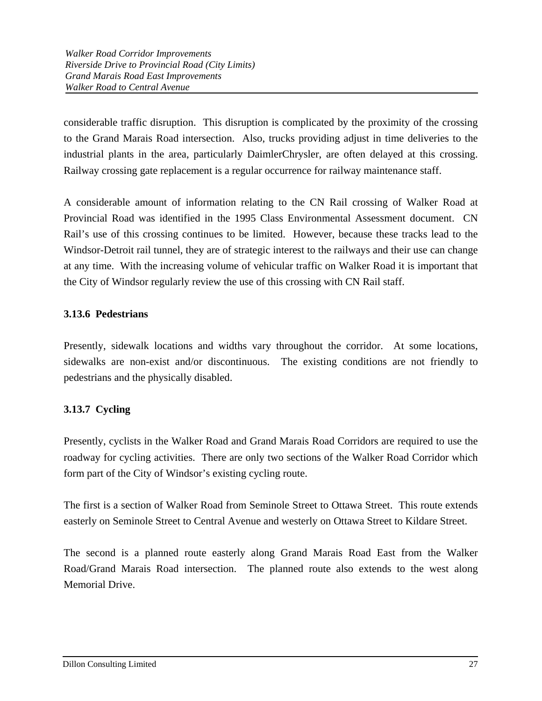considerable traffic disruption. This disruption is complicated by the proximity of the crossing to the Grand Marais Road intersection. Also, trucks providing adjust in time deliveries to the industrial plants in the area, particularly DaimlerChrysler, are often delayed at this crossing. Railway crossing gate replacement is a regular occurrence for railway maintenance staff.

A considerable amount of information relating to the CN Rail crossing of Walker Road at Provincial Road was identified in the 1995 Class Environmental Assessment document. CN Rail's use of this crossing continues to be limited. However, because these tracks lead to the Windsor-Detroit rail tunnel, they are of strategic interest to the railways and their use can change at any time. With the increasing volume of vehicular traffic on Walker Road it is important that the City of Windsor regularly review the use of this crossing with CN Rail staff.

# **3.13.6 Pedestrians**

Presently, sidewalk locations and widths vary throughout the corridor. At some locations, sidewalks are non-exist and/or discontinuous. The existing conditions are not friendly to pedestrians and the physically disabled.

# **3.13.7 Cycling**

Presently, cyclists in the Walker Road and Grand Marais Road Corridors are required to use the roadway for cycling activities. There are only two sections of the Walker Road Corridor which form part of the City of Windsor's existing cycling route.

The first is a section of Walker Road from Seminole Street to Ottawa Street. This route extends easterly on Seminole Street to Central Avenue and westerly on Ottawa Street to Kildare Street.

The second is a planned route easterly along Grand Marais Road East from the Walker Road/Grand Marais Road intersection. The planned route also extends to the west along Memorial Drive.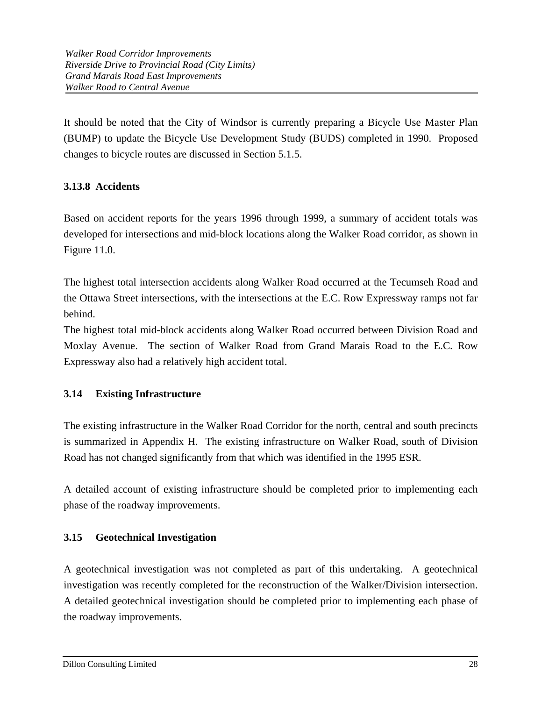It should be noted that the City of Windsor is currently preparing a Bicycle Use Master Plan (BUMP) to update the Bicycle Use Development Study (BUDS) completed in 1990. Proposed changes to bicycle routes are discussed in Section 5.1.5.

# **3.13.8 Accidents**

Based on accident reports for the years 1996 through 1999, a summary of accident totals was developed for intersections and mid-block locations along the Walker Road corridor, as shown in Figure 11.0.

The highest total intersection accidents along Walker Road occurred at the Tecumseh Road and the Ottawa Street intersections, with the intersections at the E.C. Row Expressway ramps not far behind.

The highest total mid-block accidents along Walker Road occurred between Division Road and Moxlay Avenue. The section of Walker Road from Grand Marais Road to the E.C. Row Expressway also had a relatively high accident total.

## **3.14 Existing Infrastructure**

The existing infrastructure in the Walker Road Corridor for the north, central and south precincts is summarized in Appendix H. The existing infrastructure on Walker Road, south of Division Road has not changed significantly from that which was identified in the 1995 ESR.

A detailed account of existing infrastructure should be completed prior to implementing each phase of the roadway improvements.

# **3.15 Geotechnical Investigation**

A geotechnical investigation was not completed as part of this undertaking. A geotechnical investigation was recently completed for the reconstruction of the Walker/Division intersection. A detailed geotechnical investigation should be completed prior to implementing each phase of the roadway improvements.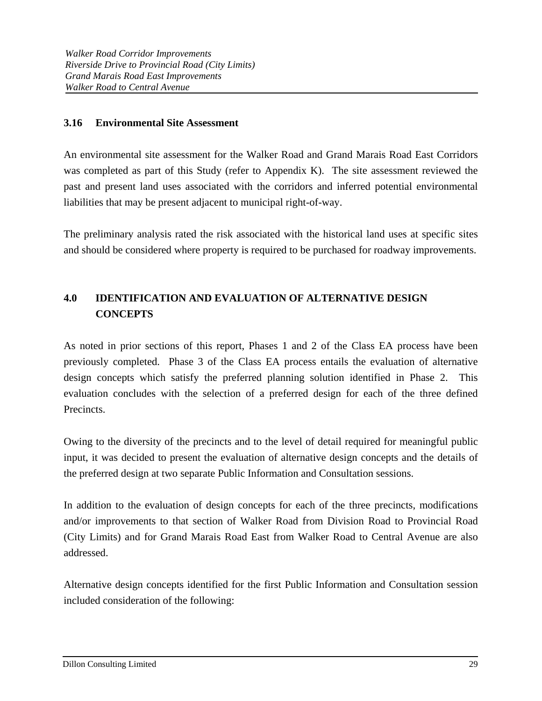## **3.16 Environmental Site Assessment**

An environmental site assessment for the Walker Road and Grand Marais Road East Corridors was completed as part of this Study (refer to Appendix K). The site assessment reviewed the past and present land uses associated with the corridors and inferred potential environmental liabilities that may be present adjacent to municipal right-of-way.

The preliminary analysis rated the risk associated with the historical land uses at specific sites and should be considered where property is required to be purchased for roadway improvements.

# **4.0 IDENTIFICATION AND EVALUATION OF ALTERNATIVE DESIGN CONCEPTS**

As noted in prior sections of this report, Phases 1 and 2 of the Class EA process have been previously completed. Phase 3 of the Class EA process entails the evaluation of alternative design concepts which satisfy the preferred planning solution identified in Phase 2. This evaluation concludes with the selection of a preferred design for each of the three defined Precincts.

Owing to the diversity of the precincts and to the level of detail required for meaningful public input, it was decided to present the evaluation of alternative design concepts and the details of the preferred design at two separate Public Information and Consultation sessions.

In addition to the evaluation of design concepts for each of the three precincts, modifications and/or improvements to that section of Walker Road from Division Road to Provincial Road (City Limits) and for Grand Marais Road East from Walker Road to Central Avenue are also addressed.

Alternative design concepts identified for the first Public Information and Consultation session included consideration of the following: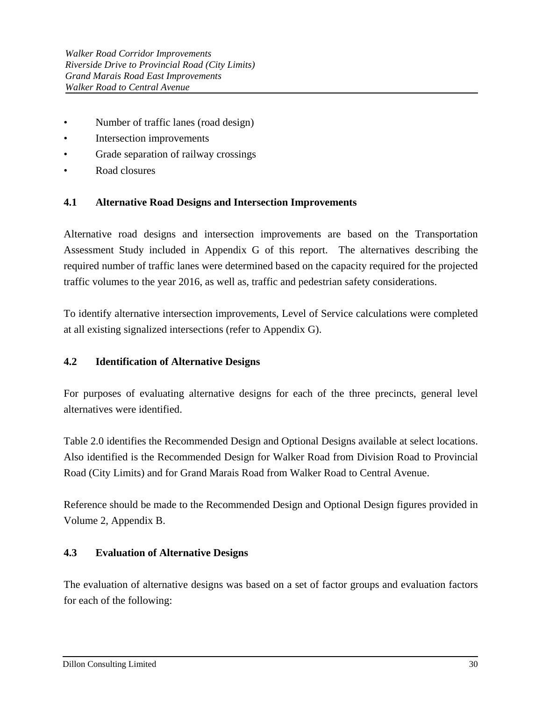- Number of traffic lanes (road design)
- Intersection improvements
- Grade separation of railway crossings
- Road closures

## **4.1 Alternative Road Designs and Intersection Improvements**

Alternative road designs and intersection improvements are based on the Transportation Assessment Study included in Appendix G of this report. The alternatives describing the required number of traffic lanes were determined based on the capacity required for the projected traffic volumes to the year 2016, as well as, traffic and pedestrian safety considerations.

To identify alternative intersection improvements, Level of Service calculations were completed at all existing signalized intersections (refer to Appendix G).

## **4.2 Identification of Alternative Designs**

For purposes of evaluating alternative designs for each of the three precincts, general level alternatives were identified.

Table 2.0 identifies the Recommended Design and Optional Designs available at select locations. Also identified is the Recommended Design for Walker Road from Division Road to Provincial Road (City Limits) and for Grand Marais Road from Walker Road to Central Avenue.

Reference should be made to the Recommended Design and Optional Design figures provided in Volume 2, Appendix B.

## **4.3 Evaluation of Alternative Designs**

The evaluation of alternative designs was based on a set of factor groups and evaluation factors for each of the following: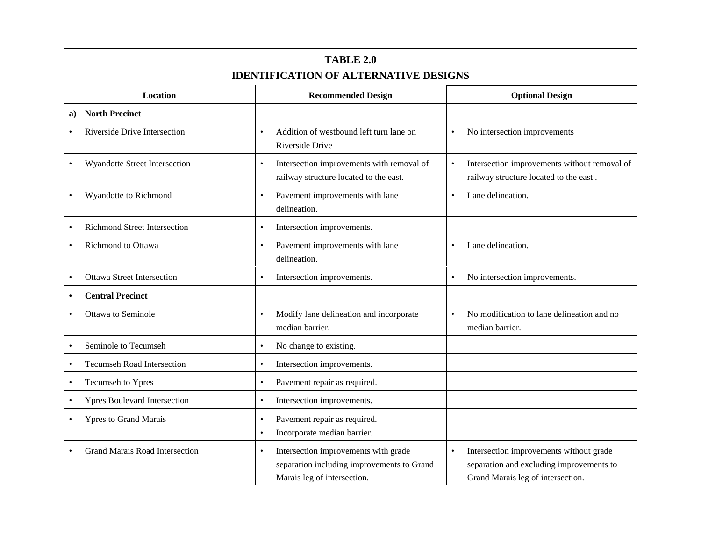|           | TABLE 2.0<br><b>IDENTIFICATION OF ALTERNATIVE DESIGNS</b> |                                                                                                                                |                                                                                                                                       |  |  |
|-----------|-----------------------------------------------------------|--------------------------------------------------------------------------------------------------------------------------------|---------------------------------------------------------------------------------------------------------------------------------------|--|--|
|           | <b>Location</b>                                           | <b>Recommended Design</b>                                                                                                      | <b>Optional Design</b>                                                                                                                |  |  |
| a)        | <b>North Precinct</b>                                     |                                                                                                                                |                                                                                                                                       |  |  |
|           | Riverside Drive Intersection                              | Addition of westbound left turn lane on<br>Riverside Drive                                                                     | No intersection improvements<br>$\bullet$                                                                                             |  |  |
| $\bullet$ | Wyandotte Street Intersection                             | Intersection improvements with removal of<br>$\bullet$<br>railway structure located to the east.                               | Intersection improvements without removal of<br>$\bullet$<br>railway structure located to the east.                                   |  |  |
|           | Wyandotte to Richmond                                     | Pavement improvements with lane<br>delineation.                                                                                | Lane delineation.<br>$\bullet$                                                                                                        |  |  |
|           | <b>Richmond Street Intersection</b>                       | Intersection improvements.<br>$\bullet$                                                                                        |                                                                                                                                       |  |  |
|           | <b>Richmond</b> to Ottawa                                 | Pavement improvements with lane<br>$\bullet$<br>delineation.                                                                   | Lane delineation.<br>$\bullet$                                                                                                        |  |  |
|           | <b>Ottawa Street Intersection</b>                         | Intersection improvements.<br>$\bullet$                                                                                        | No intersection improvements.                                                                                                         |  |  |
|           | <b>Central Precinct</b><br>Ottawa to Seminole             | Modify lane delineation and incorporate                                                                                        | No modification to lane delineation and no                                                                                            |  |  |
|           | Seminole to Tecumseh                                      | median barrier.                                                                                                                | median barrier.                                                                                                                       |  |  |
| $\bullet$ |                                                           | No change to existing.<br>$\bullet$                                                                                            |                                                                                                                                       |  |  |
| $\bullet$ | <b>Tecumseh Road Intersection</b>                         | Intersection improvements.<br>$\bullet$                                                                                        |                                                                                                                                       |  |  |
|           | Tecumseh to Ypres                                         | Pavement repair as required.<br>$\bullet$                                                                                      |                                                                                                                                       |  |  |
| $\bullet$ | <b>Ypres Boulevard Intersection</b>                       | Intersection improvements.                                                                                                     |                                                                                                                                       |  |  |
|           | <b>Ypres to Grand Marais</b>                              | Pavement repair as required.<br>٠<br>Incorporate median barrier.<br>$\bullet$                                                  |                                                                                                                                       |  |  |
|           | <b>Grand Marais Road Intersection</b>                     | Intersection improvements with grade<br>$\bullet$<br>separation including improvements to Grand<br>Marais leg of intersection. | Intersection improvements without grade<br>$\bullet$<br>separation and excluding improvements to<br>Grand Marais leg of intersection. |  |  |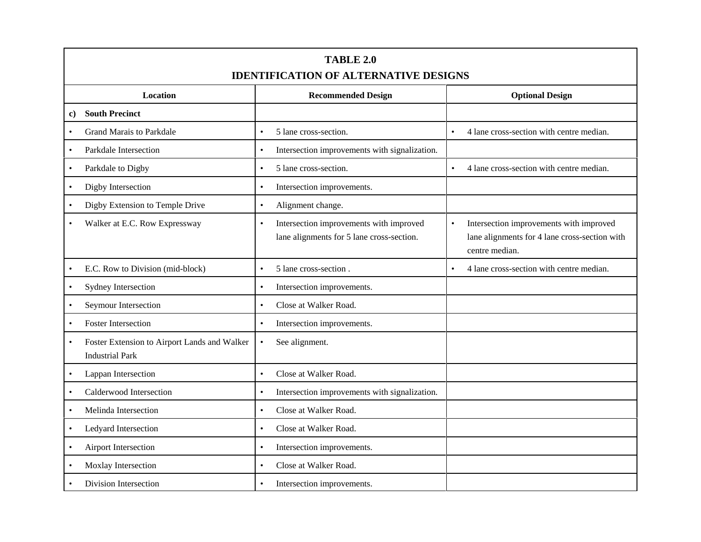| TABLE 2.0<br><b>IDENTIFICATION OF ALTERNATIVE DESIGNS</b>                           |                                                                                                   |                                                                                                                         |  |  |
|-------------------------------------------------------------------------------------|---------------------------------------------------------------------------------------------------|-------------------------------------------------------------------------------------------------------------------------|--|--|
| Location                                                                            | <b>Recommended Design</b>                                                                         | <b>Optional Design</b>                                                                                                  |  |  |
| <b>South Precinct</b><br>c)                                                         |                                                                                                   |                                                                                                                         |  |  |
| <b>Grand Marais to Parkdale</b><br>$\bullet$                                        | 5 lane cross-section.<br>$\bullet$                                                                | 4 lane cross-section with centre median.<br>$\bullet$                                                                   |  |  |
| Parkdale Intersection                                                               | Intersection improvements with signalization.<br>$\bullet$                                        |                                                                                                                         |  |  |
| Parkdale to Digby                                                                   | 5 lane cross-section.<br>$\bullet$                                                                | $\bullet$<br>4 lane cross-section with centre median.                                                                   |  |  |
| Digby Intersection<br>$\bullet$                                                     | Intersection improvements.<br>$\bullet$                                                           |                                                                                                                         |  |  |
| Digby Extension to Temple Drive<br>$\bullet$                                        | Alignment change.<br>$\bullet$                                                                    |                                                                                                                         |  |  |
| Walker at E.C. Row Expressway<br>$\bullet$                                          | Intersection improvements with improved<br>$\bullet$<br>lane alignments for 5 lane cross-section. | Intersection improvements with improved<br>$\bullet$<br>lane alignments for 4 lane cross-section with<br>centre median. |  |  |
| E.C. Row to Division (mid-block)<br>$\bullet$                                       | 5 lane cross-section.<br>$\bullet$                                                                | 4 lane cross-section with centre median.<br>$\bullet$                                                                   |  |  |
| Sydney Intersection                                                                 | Intersection improvements.<br>$\bullet$                                                           |                                                                                                                         |  |  |
| Seymour Intersection<br>$\bullet$                                                   | Close at Walker Road.<br>$\bullet$                                                                |                                                                                                                         |  |  |
| <b>Foster Intersection</b>                                                          | Intersection improvements.<br>$\bullet$                                                           |                                                                                                                         |  |  |
| Foster Extension to Airport Lands and Walker<br>$\bullet$<br><b>Industrial Park</b> | See alignment.<br>$\bullet$                                                                       |                                                                                                                         |  |  |
| Lappan Intersection                                                                 | Close at Walker Road.<br>$\bullet$                                                                |                                                                                                                         |  |  |
| Calderwood Intersection                                                             | Intersection improvements with signalization.<br>$\bullet$                                        |                                                                                                                         |  |  |
| Melinda Intersection                                                                | Close at Walker Road.<br>$\bullet$                                                                |                                                                                                                         |  |  |
| Ledyard Intersection<br>$\bullet$                                                   | Close at Walker Road.<br>$\bullet$                                                                |                                                                                                                         |  |  |
| Airport Intersection<br>$\bullet$                                                   | Intersection improvements.<br>$\bullet$                                                           |                                                                                                                         |  |  |
| Moxlay Intersection                                                                 | Close at Walker Road.<br>$\bullet$                                                                |                                                                                                                         |  |  |
| Division Intersection                                                               | Intersection improvements.<br>$\bullet$                                                           |                                                                                                                         |  |  |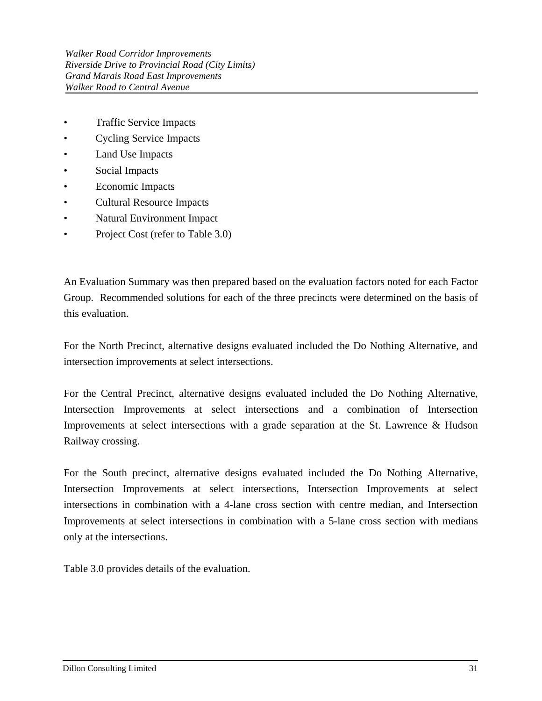- Traffic Service Impacts
- Cycling Service Impacts
- Land Use Impacts
- Social Impacts
- Economic Impacts
- Cultural Resource Impacts
- Natural Environment Impact
- Project Cost (refer to Table 3.0)

An Evaluation Summary was then prepared based on the evaluation factors noted for each Factor Group. Recommended solutions for each of the three precincts were determined on the basis of this evaluation.

For the North Precinct, alternative designs evaluated included the Do Nothing Alternative, and intersection improvements at select intersections.

For the Central Precinct, alternative designs evaluated included the Do Nothing Alternative, Intersection Improvements at select intersections and a combination of Intersection Improvements at select intersections with a grade separation at the St. Lawrence & Hudson Railway crossing.

For the South precinct, alternative designs evaluated included the Do Nothing Alternative, Intersection Improvements at select intersections, Intersection Improvements at select intersections in combination with a 4-lane cross section with centre median, and Intersection Improvements at select intersections in combination with a 5-lane cross section with medians only at the intersections.

Table 3.0 provides details of the evaluation.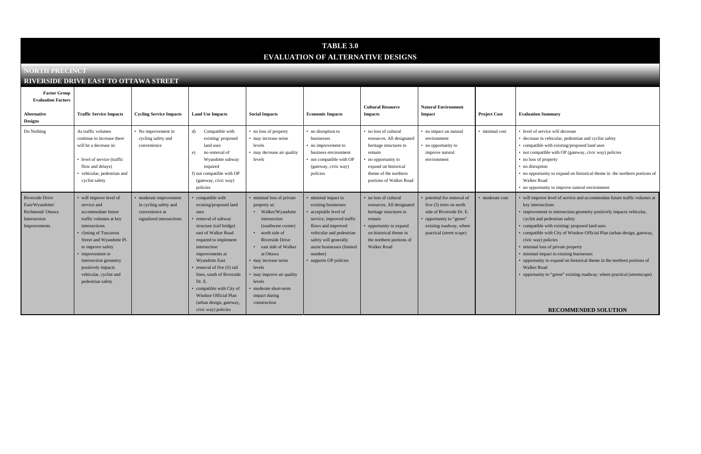# **TABLE 3.0 EVALUATION OF ALTERNATIVE DESIGNS**

#### **NORTH PRECINCT**

#### **RIVERSIDE DRIVE EAST TO OTTAWA STREET**

| <b>Factor Group</b><br><b>Evaluation Factors</b><br>Alternative<br><b>Designs</b>     | <b>Traffic Service Impacts</b>                                                                                                                                                                                                                                                                     | <b>Cycling Service Impacts</b>                                                                | <b>Land Use Impacts</b>                                                                                                                                                                                                                                                                                                                                                                | <b>Social Impacts</b>                                                                                                                                                                                                                                                                                                                    | <b>Economic Impacts</b>                                                                                                                                                                                                                    | <b>Cultural Resource</b><br><b>Impacts</b>                                                                                                                                                  | <b>Natural Environment</b><br><b>Impact</b>                                                                                                                            | <b>Project Cost</b> |
|---------------------------------------------------------------------------------------|----------------------------------------------------------------------------------------------------------------------------------------------------------------------------------------------------------------------------------------------------------------------------------------------------|-----------------------------------------------------------------------------------------------|----------------------------------------------------------------------------------------------------------------------------------------------------------------------------------------------------------------------------------------------------------------------------------------------------------------------------------------------------------------------------------------|------------------------------------------------------------------------------------------------------------------------------------------------------------------------------------------------------------------------------------------------------------------------------------------------------------------------------------------|--------------------------------------------------------------------------------------------------------------------------------------------------------------------------------------------------------------------------------------------|---------------------------------------------------------------------------------------------------------------------------------------------------------------------------------------------|------------------------------------------------------------------------------------------------------------------------------------------------------------------------|---------------------|
| Do Nothing                                                                            | As traffic volumes<br>continue to increase there<br>will be a decrease in:<br>• level of service (traffic<br>flow and delays)<br>• vehicular, pedestrian and<br>cyclist safety                                                                                                                     | • No improvement in<br>cycling safety and<br>convenience                                      | Compatible with<br>d)<br>existing/proposed<br>land uses<br>no removal of<br>e)<br>Wyandotte subway<br>required<br>f) not compatible with OP<br>(gateway, civic way)<br>policies                                                                                                                                                                                                        | • no loss of property<br>• may increase noise<br>levels<br>• may decrease air quality<br>levels                                                                                                                                                                                                                                          | • no disruption to<br>businesses<br>• no improvement to<br>business environment<br>• not compatible with OP<br>(gateway, civic way)<br>policies                                                                                            | • no loss of cultural<br>resources. All designated<br>heritage structures to<br>remain<br>no opportunity to<br>expand on historical<br>theme of the northern<br>portions of Walker Road     | • no impact on natural<br>environment<br>• no opportunity to<br>improve natural<br>environment                                                                         | · minimal cost      |
| Riverside Drive<br>East/Wyandotte/<br>Richmond/Ottawa<br>Intersection<br>Improvements | • will improve level of<br>service and<br>accommodate future<br>traffic volumes at key<br>intersections<br>closing of Tuscarora<br>Street and Wyandotte Pl.<br>to improve safety<br>• improvement to<br>intersection geometry<br>positively impacts<br>vehicular, cyclist and<br>pedestrian safety | • moderate improvement<br>in cycling safety and<br>convenience at<br>signalized intersections | compatible with<br>existing/proposed land<br>uses<br>removal of subway<br>structure (rail bridge)<br>east of Walker Road<br>required to implement<br>intersection<br>improvements at<br><b>Wyandotte East</b><br>removal of five (5) rail<br>lines, south of Riverside<br>Dr. E.<br>compatible with City of<br>Windsor Official Plan<br>(urban design, gateway,<br>civic way) policies | • minimal loss of private<br>property at:<br>Walker/Wyandotte<br>intersection<br>(southwest corner)<br>north side of<br>$\bullet$<br>Riverside Drive<br>east side of Walker<br>$\bullet$<br>at Ottawa<br>• may increase noise<br>levels<br>• may improve air quality<br>levels<br>• moderate short-term<br>impact during<br>construction | minimal impact to<br>existing businesses<br>acceptable level of<br>service, improved traffic<br>flows and improved<br>vehicular and pedestrian<br>safety will generally<br>assist businesses (limited<br>number)<br>• supports OP policies | • no loss of cultural<br>resources. All designated<br>heritage structures to<br>remain<br>opportunity to expand<br>on historical theme in<br>the northern portions of<br><b>Walker Road</b> | • potential for removal of<br>five $(5)$ trees on north<br>side of Riverside Dr. E.<br>• opportunity to "green"<br>existing roadway, where<br>practical (street scape) | · moderate cost     |

#### $E$  **<b>Evaluation Summary**

- minimal cost level of service will decrease
	- decrease in vehicular, pedestrian and cyclist safety
	- compatible with existing/proposed land uses
	- not compatible with OP (gateway, civic way) policies
	- no loss of property
	- no disruption
	- no opportunity to expand on historical theme in the northern portions of Walker Road
	- no opportunity to improve natural environment
	- will improve level of service and accommodate future traffic volumes at key intersections
	- improvement to intersection geometry positively impacts vehicular, cyclist and pedestrian safety
	- compatible with existing/ proposed land uses
	- compatible with City of Windsor Official Plan (urban design, gateway, civic way) policies
	- minimal loss of private property
	- minimal impact to existing businesses
	- opportunity to expand on historical theme in the northern portions of Walker Road
	- opportunity to "green" existing roadway, where practical (streetscape)

#### **RECOMMENDED SOLUTION**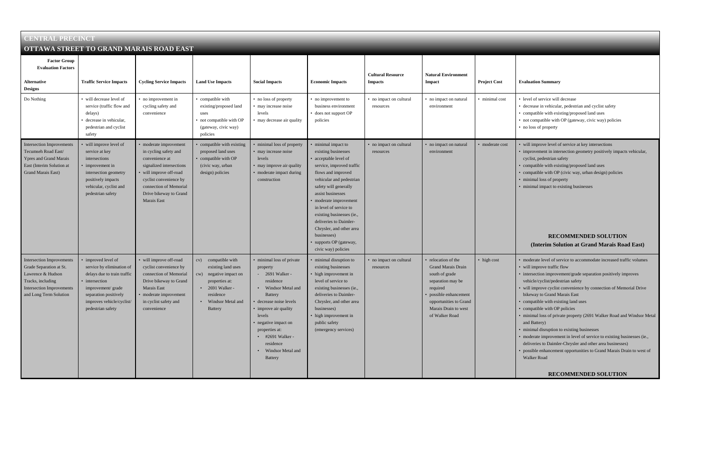- minimal cost level of service will decrease
	- decrease in vehicular, pedestrian and cyclist safety
	- compatible with existing/proposed land uses
	- not compatible with OP (gateway, civic way) policies
	- no loss of property
	- will improve level of service at key intersections
	- improvement in intersection geometry positively impacts vehicular, cyclist, pedestrian safety
	- compatible with existing/proposed land uses
	- compatible with OP (civic way, urban design) policies
	- minimal loss of property
	- minimal impact to existing businesses

| <b>CENTRAL PRECINCT</b>                                                                                                                                      |                                                                                                                                                                                                   |                                                                                                                                                                                                                   |                                                                                                                                                                                |                                                                                                                                                                                                                                                                                                      |                                                                                                                                                                                                                                                                                                                                                                                                  |                                            |                                                                                                                                                                                                 |                     |
|--------------------------------------------------------------------------------------------------------------------------------------------------------------|---------------------------------------------------------------------------------------------------------------------------------------------------------------------------------------------------|-------------------------------------------------------------------------------------------------------------------------------------------------------------------------------------------------------------------|--------------------------------------------------------------------------------------------------------------------------------------------------------------------------------|------------------------------------------------------------------------------------------------------------------------------------------------------------------------------------------------------------------------------------------------------------------------------------------------------|--------------------------------------------------------------------------------------------------------------------------------------------------------------------------------------------------------------------------------------------------------------------------------------------------------------------------------------------------------------------------------------------------|--------------------------------------------|-------------------------------------------------------------------------------------------------------------------------------------------------------------------------------------------------|---------------------|
|                                                                                                                                                              | OTTAWA STREET TO GRAND MARAIS ROAD EAST                                                                                                                                                           |                                                                                                                                                                                                                   |                                                                                                                                                                                |                                                                                                                                                                                                                                                                                                      |                                                                                                                                                                                                                                                                                                                                                                                                  |                                            |                                                                                                                                                                                                 |                     |
| <b>Factor Group</b><br><b>Evaluation Factors</b><br><b>Alternative</b>                                                                                       | <b>Traffic Service Impacts</b>                                                                                                                                                                    | <b>Cycling Service Impacts</b>                                                                                                                                                                                    | <b>Land Use Impacts</b>                                                                                                                                                        | <b>Social Impacts</b>                                                                                                                                                                                                                                                                                | <b>Economic Impacts</b>                                                                                                                                                                                                                                                                                                                                                                          | <b>Cultural Resource</b><br><b>Impacts</b> | <b>Natural Environment</b><br>Impact                                                                                                                                                            | <b>Project Cost</b> |
| <b>Designs</b>                                                                                                                                               |                                                                                                                                                                                                   |                                                                                                                                                                                                                   |                                                                                                                                                                                |                                                                                                                                                                                                                                                                                                      |                                                                                                                                                                                                                                                                                                                                                                                                  |                                            |                                                                                                                                                                                                 |                     |
| Do Nothing                                                                                                                                                   | • will decrease level of<br>service (traffic flow and<br>delays)<br>• decrease in vehicular,<br>pedestrian and cyclist<br>safety                                                                  | • no improvement in<br>cycling safety and<br>convenience                                                                                                                                                          | • compatible with<br>existing/proposed land<br>uses<br>· not compatible with OP<br>(gateway, civic way)<br>policies                                                            | • no loss of property<br>• may increase noise<br>levels<br>• may decrease air quality                                                                                                                                                                                                                | • no improvement to<br>business environment<br>does not support OP<br>policies                                                                                                                                                                                                                                                                                                                   | • no impact on cultural<br>resources       | • no impact on natural<br>environment                                                                                                                                                           | · minimal cost      |
| <b>Intersection Improvements</b><br>Tecumseh Road East/<br>Ypres and Grand Marais<br>East (Interim Solution at<br>Grand Marais East)                         | will improve level of<br>service at key<br>intersections<br>• improvement in<br>intersection geometry<br>positively impacts<br>vehicular, cyclist and<br>pedestrian safety                        | moderate improvement<br>in cycling safety and<br>convenience at<br>signalized intersections<br>will improve off-road<br>cyclist convenience by<br>connection of Memorial<br>Drive bikeway to Grand<br>Marais East | • compatible with existing<br>proposed land uses<br>• compatible with OP<br>(civic way, urban<br>design) policies                                                              | minimal loss of property<br>• may increase noise<br>levels<br>may improve air quality<br>moderate impact during<br>construction                                                                                                                                                                      | minimal impact to<br>existing businesses<br>acceptable level of<br>service, improved traffic<br>flows and improved<br>vehicular and pedestrian<br>safety will generally<br>assist businesses<br>moderate improvement<br>in level of service to<br>existing businesses (ie.,<br>deliveries to Daimler-<br>Chrysler, and other area<br>businesses)<br>supports OP (gateway,<br>civic way) policies | • no impact on cultural<br>resources       | no impact on natural<br>environment                                                                                                                                                             | • moderate cost     |
| <b>Intersection Improvements</b><br>Grade Separation at St.<br>Lawrence & Hudson<br>Tracks, including<br>Intersection Improvements<br>and Long Term Solution | • improved level of<br>service by elimination of<br>delays due to train traffic<br>• intersection<br>improvement/grade<br>separation positively<br>improves vehicle/cyclist/<br>pedestrian safety | will improve off-road<br>cyclist convenience by<br>connection of Memorial<br>Drive bikeway to Grand<br>Marais East<br>· moderate improvement<br>in cyclist safety and<br>convenience                              | compatible with<br>CV)<br>existing land uses<br>negative impact on<br>cw)<br>properties at:<br>$\cdot$ 2691 Walker -<br>residence<br>Windsor Metal and<br>$\bullet$<br>Battery | minimal loss of private<br>property<br>- 2691 Walker -<br>residence<br>• Windsor Metal and<br><b>Battery</b><br>• decrease noise levels<br>• improve air quality<br>levels<br>· negative impact on<br>properties at:<br>$\cdot$ #2691 Walker -<br>residence<br>• Windsor Metal and<br><b>Battery</b> | minimal disruption to<br>existing businesses<br>high improvement in<br>level of service to<br>existing businesses (ie.,<br>deliveries to Daimler-<br>Chrysler, and other area<br>businesses)<br>high improvement in<br>public safety<br>(emergency services)                                                                                                                                     | • no impact on cultural<br>resources       | relocation of the<br><b>Grand Marais Drain</b><br>south of grade<br>separation may be<br>required<br>· possible enhancement<br>opportunities to Grand<br>Marais Drain to west<br>of Walker Road | • high cost         |

#### $E$  **<b>Evaluation Summary**

- moderate level of service to accommodate increased traffic volumes
- will improve traffic flow
- intersection improvement/grade separation positively improves vehicle/cyclist/pedestrian safety
- will improve cyclist convenience by connection of Memorial Drive bikeway to Grand Marais East
- compatible with existing land uses
- compatible with OP policies
- minimal loss of private property (2691 Walker Road and Windsor Metal and Battery)
- minimal disruption to existing businesses
- moderate improvement in level of service to existing businesses (ie., deliveries to Daimler-Chrysler and other area businesses)
- possible enhancement opportunities to Grand Marais Drain to west of Walker Road

#### **RECOMMENDED SOLUTION**

#### **(Interim Solution at Grand Marais Road East)**

#### **RECOMMENDED SOLUTION**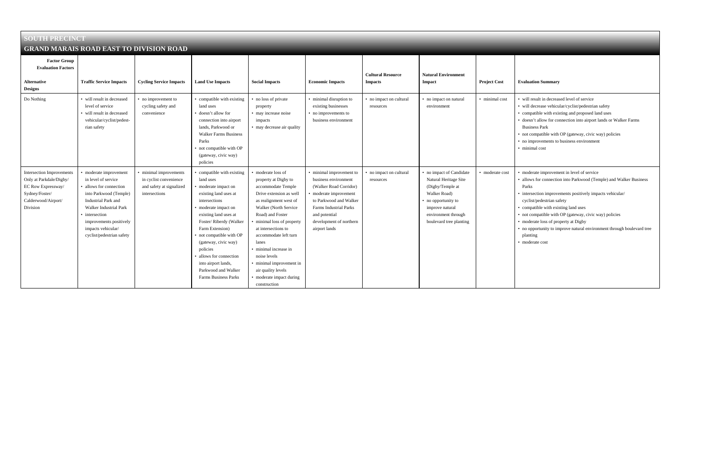| <b>SOUTH PRECINCT</b>                                                                                                                  |                                                                                                                                                                                                                                                     |                                                                                               |                                                                                                                                                                                                                                                                                                                                                                          |                                                                                                                                                                                                                                                                                                                                                                                              |                                                                                                                                                                                                                              |                                            |                                                                                                                                                                                   |                     |
|----------------------------------------------------------------------------------------------------------------------------------------|-----------------------------------------------------------------------------------------------------------------------------------------------------------------------------------------------------------------------------------------------------|-----------------------------------------------------------------------------------------------|--------------------------------------------------------------------------------------------------------------------------------------------------------------------------------------------------------------------------------------------------------------------------------------------------------------------------------------------------------------------------|----------------------------------------------------------------------------------------------------------------------------------------------------------------------------------------------------------------------------------------------------------------------------------------------------------------------------------------------------------------------------------------------|------------------------------------------------------------------------------------------------------------------------------------------------------------------------------------------------------------------------------|--------------------------------------------|-----------------------------------------------------------------------------------------------------------------------------------------------------------------------------------|---------------------|
| <b>GRAND MARAIS ROAD EAST TO DIVISION ROAD</b>                                                                                         |                                                                                                                                                                                                                                                     |                                                                                               |                                                                                                                                                                                                                                                                                                                                                                          |                                                                                                                                                                                                                                                                                                                                                                                              |                                                                                                                                                                                                                              |                                            |                                                                                                                                                                                   |                     |
| <b>Factor Group</b><br><b>Evaluation Factors</b><br><b>Alternative</b><br><b>Designs</b>                                               | <b>Traffic Service Impacts</b>                                                                                                                                                                                                                      | <b>Cycling Service Impacts</b>                                                                | <b>Land Use Impacts</b>                                                                                                                                                                                                                                                                                                                                                  | <b>Social Impacts</b>                                                                                                                                                                                                                                                                                                                                                                        | <b>Economic Impacts</b>                                                                                                                                                                                                      | <b>Cultural Resource</b><br><b>Impacts</b> | <b>Natural Environment</b><br>Impact                                                                                                                                              | <b>Project Cost</b> |
| Do Nothing                                                                                                                             | • will result in decreased<br>level of service<br>• will result in decreased<br>vehicular/cyclist/pedest-<br>rian safety                                                                                                                            | • no improvement to<br>cycling safety and<br>convenience                                      | • compatible with existing<br>land uses<br>• doesn't allow for<br>connection into airport<br>lands. Parkwood or<br><b>Walker Farms Business</b><br>Parks<br>• not compatible with OP<br>(gateway, civic way)<br>policies                                                                                                                                                 | • no loss of private<br>property<br>• may increase noise<br>impacts<br>• may decrease air quality                                                                                                                                                                                                                                                                                            | • minimal disruption to<br>existing businesses<br>• no improvements to<br>business environment                                                                                                                               | • no impact on cultural<br>resources       | • no impact on natural<br>environment                                                                                                                                             | · minimal cost      |
| <b>Intersection Improvements</b><br>Only at Parkdale/Digby/<br>EC Row Expressway/<br>Sydney/Foster/<br>Calderwood/Airport/<br>Division | • moderate improvement<br>in level of service<br>• allows for connection<br>into Parkwood (Temple)<br>Industrial Park and<br>Walker Industrial Park<br>• intersection<br>improvements positively<br>impacts vehicular/<br>cyclist/pedestrian safety | • minimal improvements<br>in cyclist convenience<br>and safety at signalized<br>intersections | • compatible with existing<br>land uses<br>• moderate impact on<br>existing land uses at<br>intersections<br>· moderate impact on<br>existing land uses at<br>Foster/Riberdy (Walker<br>Farm Extension)<br>• not compatible with OP<br>(gateway, civic way)<br>policies<br>· allows for connection<br>into airport lands,<br>Parkwood and Walker<br>Farms Business Parks | moderate loss of<br>property at Digby to<br>accommodate Temple<br>Drive extension as well<br>as realignment west of<br>Walker (North Service<br>Road) and Foster<br>minimal loss of property<br>at intersections to<br>accommodate left turn<br>lanes<br>• minimal increase in<br>noise levels<br>• minimal improvement in<br>air quality levels<br>· moderate impact during<br>construction | • minimal improvement to<br>business environment<br>(Walker Road Corridor)<br>• moderate improvement<br>to Parkwood and Walker<br><b>Farms Industrial Parks</b><br>and potential<br>development of northern<br>airport lands | • no impact on cultural<br>resources       | • no impact of Candidate<br>Natural Heritage Site<br>(Digby/Temple at<br>Walker Road)<br>• no opportunity to<br>improve natural<br>environment through<br>boulevard tree planting | • moderate cost     |

#### $E$  **<b>Evaluation Summary**

- minimal cost will result in decreased level of service
	- will decrease vehicular/cyclist/pedestrian safety
	- compatible with existing and proposed land uses
	- doesn't allow for connection into airport lands or Walker Farms Business Park
	- not compatible with OP (gateway, civic way) policies
	- no improvements to business environment
	- minimal cost
	- moderate improvement in level of service
	- allows for connection into Parkwood (Temple) and Walker Business Parks
	- intersection improvements positively impacts vehicular/ cyclist/pedestrian safety
	- compatible with existing land uses
	- not compatible with OP (gateway, civic way) policies
	- moderate loss of property at Digby
	- no opportunity to improve natural environment through boulevard tree planting
	- moderate cost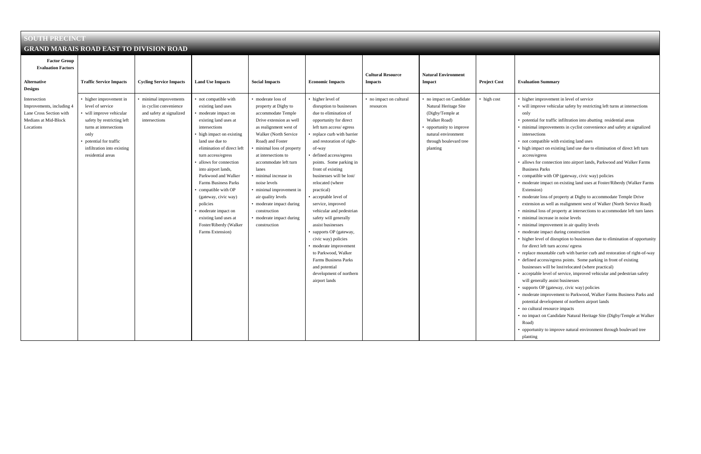| <b>SOUTH PRECINCT</b>                                                                                     |                                                                                                                                                                                                                     |                                                                                               |                                                                                                                                                                                                                                                                                                                                                                                                                                                                                      |                                                                                                                                                                                                                                                                                                                                                                                                                                              |                                                                                                                                                                                                                                                                                                                                                                                                                                                                                                                                                                                                                                                         |                                            |                                                                                                                                                                                |                     |
|-----------------------------------------------------------------------------------------------------------|---------------------------------------------------------------------------------------------------------------------------------------------------------------------------------------------------------------------|-----------------------------------------------------------------------------------------------|--------------------------------------------------------------------------------------------------------------------------------------------------------------------------------------------------------------------------------------------------------------------------------------------------------------------------------------------------------------------------------------------------------------------------------------------------------------------------------------|----------------------------------------------------------------------------------------------------------------------------------------------------------------------------------------------------------------------------------------------------------------------------------------------------------------------------------------------------------------------------------------------------------------------------------------------|---------------------------------------------------------------------------------------------------------------------------------------------------------------------------------------------------------------------------------------------------------------------------------------------------------------------------------------------------------------------------------------------------------------------------------------------------------------------------------------------------------------------------------------------------------------------------------------------------------------------------------------------------------|--------------------------------------------|--------------------------------------------------------------------------------------------------------------------------------------------------------------------------------|---------------------|
| <b>GRAND MARAIS ROAD EAST TO DIVISION ROAD</b>                                                            |                                                                                                                                                                                                                     |                                                                                               |                                                                                                                                                                                                                                                                                                                                                                                                                                                                                      |                                                                                                                                                                                                                                                                                                                                                                                                                                              |                                                                                                                                                                                                                                                                                                                                                                                                                                                                                                                                                                                                                                                         |                                            |                                                                                                                                                                                |                     |
| <b>Factor Group</b><br><b>Evaluation Factors</b><br><b>Alternative</b><br><b>Designs</b>                  | <b>Traffic Service Impacts</b>                                                                                                                                                                                      | <b>Cycling Service Impacts</b>                                                                | <b>Land Use Impacts</b>                                                                                                                                                                                                                                                                                                                                                                                                                                                              | <b>Social Impacts</b>                                                                                                                                                                                                                                                                                                                                                                                                                        | <b>Economic Impacts</b>                                                                                                                                                                                                                                                                                                                                                                                                                                                                                                                                                                                                                                 | <b>Cultural Resource</b><br><b>Impacts</b> | <b>Natural Environment</b><br>Impact                                                                                                                                           | <b>Project Cost</b> |
| Intersection<br>Improvements, including 4<br>Lane Cross Section with<br>Medians at Mid-Block<br>Locations | • higher improvement in<br>level of service<br>• will improve vehicular<br>safety by restricting left<br>turns at intersections<br>only<br>potential for traffic<br>infiltration into existing<br>residential areas | • minimal improvements<br>in cyclist convenience<br>and safety at signalized<br>intersections | • not compatible with<br>existing land uses<br>• moderate impact on<br>existing land uses at<br>intersections<br>• high impact on existing<br>land use due to<br>elimination of direct left<br>turn access/egress<br>· allows for connection<br>into airport lands,<br>Parkwood and Walker<br><b>Farms Business Parks</b><br>• compatible with OP<br>(gateway, civic way)<br>policies<br>• moderate impact on<br>existing land uses at<br>Foster/Riberdy (Walker<br>Farms Extension) | • moderate loss of<br>property at Digby to<br>accommodate Temple<br>Drive extension as well<br>as realignment west of<br>Walker (North Service<br>Road) and Foster<br>• minimal loss of property<br>at intersections to<br>accommodate left turn<br>lanes<br>• minimal increase in<br>noise levels<br>• minimal improvement in<br>air quality levels<br>• moderate impact during<br>construction<br>• moderate impact during<br>construction | • higher level of<br>disruption to businesses<br>due to elimination of<br>opportunity for direct<br>left turn access/egress<br>replace curb with barrier<br>and restoration of right-<br>of-way<br>defined access/egress<br>points. Some parking in<br>front of existing<br>businesses will be lost/<br>relocated (where<br>practical)<br>acceptable level of<br>service, improved<br>vehicular and pedestrian<br>safety will generally<br>assist businesses<br>supports OP (gateway,<br>civic way) policies<br>moderate improvement<br>to Parkwood, Walker<br><b>Farms Business Parks</b><br>and potential<br>development of northern<br>airport lands | • no impact on cultural<br>resources       | • no impact on Candidate<br>Natural Heritage Site<br>(Digby/Temple at<br>Walker Road)<br>• opportunity to improve<br>natural environment<br>through boulevard tree<br>planting | • high cost         |

#### $E$  **<b>Evaluation Summary**

- higher improvement in level of service
- will improve vehicular safety by restricting left turns at intersections only
- potential for traffic infiltration into abutting residential areas
- minimal improvements in cyclist convenience and safety at signalized intersections
- not compatible with existing land uses
- high impact on existing land use due to elimination of direct left turn access/egress
- allows for connection into airport lands, Parkwood and Walker Farms Business Parks
- compatible with OP (gateway, civic way) policies
- moderate impact on existing land uses at Foster/Riberdy (Walker Farms Extension)
- moderate loss of property at Digby to accommodate Temple Drive extension as well as realignment west of Walker (North Service Road)
- minimal loss of property at intersections to accommodate left turn lanes
- minimal increase in noise levels
- minimal improvement in air quality levels
- moderate impact during construction
- higher level of disruption to businesses due to elimination of opportunity for direct left turn access/ egress
- replace mountable curb with barrier curb and restoration of right-of-way
- defined access/egress points. Some parking in front of existing

businesses will be lost/relocated (where practical)

- acceptable level of service, improved vehicular and pedestrian safety will generally assist businesses
- supports OP (gateway, civic way) policies
- moderate improvement to Parkwood, Walker Farms Business Parks and potential development of northern airport lands
- no cultural resource impacts
- no impact on Candidate Natural Heritage Site (Digby/Temple at Walker Road)
- opportunity to improve natural environment through boulevard tree planting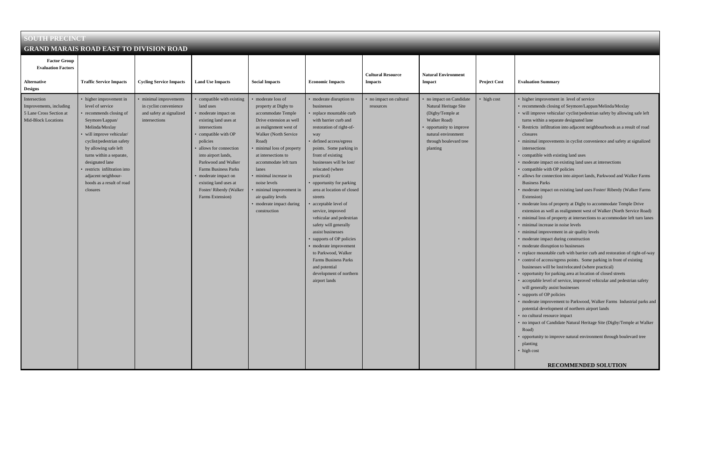| <b>SOUTH PRECINCT</b>                                                                            |                                                                                                                                                                                                                                                                                                                                                |                                                                                             |                                                                                                                                                                                                                                                                                                                                                    |                                                                                                                                                                                                                                                                                                                                                                                 |                                                                                                                                                                                                                                                                                                                                                                                                                                                                                                                                                                                                                                   |                                            |                                                                                                                                                                              |                     |
|--------------------------------------------------------------------------------------------------|------------------------------------------------------------------------------------------------------------------------------------------------------------------------------------------------------------------------------------------------------------------------------------------------------------------------------------------------|---------------------------------------------------------------------------------------------|----------------------------------------------------------------------------------------------------------------------------------------------------------------------------------------------------------------------------------------------------------------------------------------------------------------------------------------------------|---------------------------------------------------------------------------------------------------------------------------------------------------------------------------------------------------------------------------------------------------------------------------------------------------------------------------------------------------------------------------------|-----------------------------------------------------------------------------------------------------------------------------------------------------------------------------------------------------------------------------------------------------------------------------------------------------------------------------------------------------------------------------------------------------------------------------------------------------------------------------------------------------------------------------------------------------------------------------------------------------------------------------------|--------------------------------------------|------------------------------------------------------------------------------------------------------------------------------------------------------------------------------|---------------------|
| <b>GRAND MARAIS ROAD EAST TO DIVISION ROAD</b>                                                   |                                                                                                                                                                                                                                                                                                                                                |                                                                                             |                                                                                                                                                                                                                                                                                                                                                    |                                                                                                                                                                                                                                                                                                                                                                                 |                                                                                                                                                                                                                                                                                                                                                                                                                                                                                                                                                                                                                                   |                                            |                                                                                                                                                                              |                     |
| <b>Factor Group</b><br><b>Evaluation Factors</b><br><b>Alternative</b><br><b>Designs</b>         | <b>Traffic Service Impacts</b>                                                                                                                                                                                                                                                                                                                 | <b>Cycling Service Impacts</b>                                                              | <b>Land Use Impacts</b>                                                                                                                                                                                                                                                                                                                            | <b>Social Impacts</b>                                                                                                                                                                                                                                                                                                                                                           | <b>Economic Impacts</b>                                                                                                                                                                                                                                                                                                                                                                                                                                                                                                                                                                                                           | <b>Cultural Resource</b><br><b>Impacts</b> | <b>Natural Environment</b><br>Impact                                                                                                                                         | <b>Project Cost</b> |
| Intersection<br>Improvements, including<br>5 Lane Cross Section at<br><b>Mid-Block Locations</b> | • higher improvement in<br>level of service<br>• recommends closing of<br>Seymore/Lappan/<br>Melinda/Moxlay<br>· will improve vehicular/<br>cyclist/pedestrian safety<br>by allowing safe left<br>turns within a separate,<br>designated lane<br>· restricts infiltration into<br>adjacent neighbour-<br>hoods as a result of road<br>closures | minimal improvements<br>in cyclist convenience<br>and safety at signalized<br>intersections | • compatible with existing<br>land uses<br>· moderate impact on<br>existing land uses at<br>intersections<br>compatible with OP<br>policies<br>· allows for connection<br>into airport lands,<br>Parkwood and Walker<br><b>Farms Business Parks</b><br>· moderate impact on<br>existing land uses at<br>Foster/Riberdy (Walker<br>Farms Extension) | moderate loss of<br>property at Digby to<br>accommodate Temple<br>Drive extension as well<br>as realignment west of<br>Walker (North Service<br>Road)<br>minimal loss of property<br>at intersections to<br>accommodate left turn<br>lanes<br>· minimal increase in<br>noise levels<br>minimal improvement in<br>air quality levels<br>• moderate impact during<br>construction | moderate disruption to<br>businesses<br>replace mountable curb<br>with barrier curb and<br>restoration of right-of-<br>way<br>defined access/egress<br>points. Some parking in<br>front of existing<br>businesses will be lost/<br>relocated (where<br>practical)<br>opportunity for parking<br>area at location of closed<br>streets<br>acceptable level of<br>service, improved<br>vehicular and pedestrian<br>safety will generally<br>assist businesses<br>supports of OP policies<br>moderate improvement<br>to Parkwood, Walker<br><b>Farms Business Parks</b><br>and potential<br>development of northern<br>airport lands | • no impact on cultural<br>resources       | · no impact on Candidate<br>Natural Heritage Site<br>(Digby/Temple at<br>Walker Road)<br>opportunity to improve<br>natural environment<br>through boulevard tree<br>planting | high cost           |

#### $E$ **valuation Summary**

- higher improvement in level of service
- recommends closing of Seymore/Lappan/Melinda/Moxlay
- will improve vehicular/ cyclist/pedestrian safety by allowing safe left turns within a separate designated lane
- Restricts infiltration into adjacent neighbourhoods as a result of road closures
- minimal improvements in cyclist convenience and safety at signalized intersections
- compatible with existing land uses
- moderate impact on existing land uses at intersections
- compatible with OP policies
- allows for connection into airport lands, Parkwood and Walker Farms Business Parks
- moderate impact on existing land uses Foster/ Riberdy (Walker Farms Extension)
- moderate loss of property at Digby to accommodate Temple Drive extension as well as realignment west of Walker (North Service Road)
- minimal loss of property at intersections to accommodate left turn lanes
- minimal increase in noise levels
- minimal improvement in air quality levels
- moderate impact during construction
- moderate disruption to businesses
- replace mountable curb with barrier curb and restoration of right-of-way
- control of access/egress points. Some parking in front of existing
- businesses will be lost/relocated (where practical)
- opportunity for parking area at location of closed streets
- acceptable level of service, improved vehicular and pedestrian safety will generally assist businesses
- supports of OP policies
- moderate improvement to Parkwood, Walker Farms Industrial parks and potential development of northern airport lands
- no cultural resource impact
- no impact of Candidate Natural Heritage Site (Digby/Temple at Walker Road)
- opportunity to improve natural environment through boulevard tree planting
- high cost

#### **RECOMMENDED SOLUTION**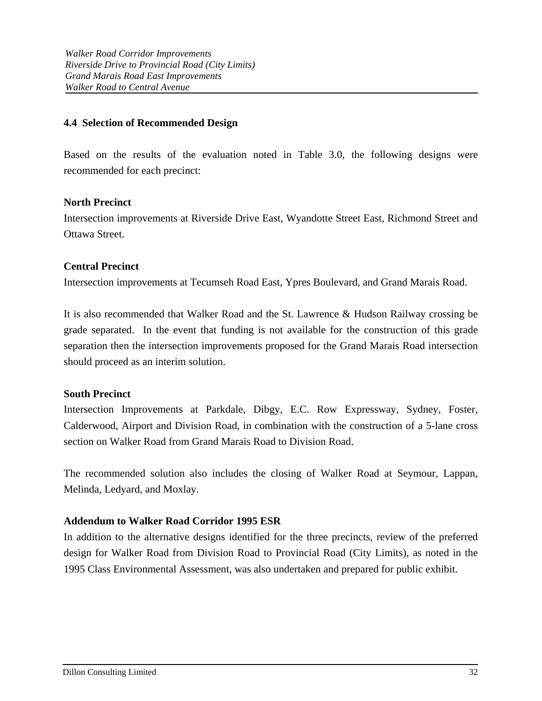## **4.4 Selection of Recommended Design**

Based on the results of the evaluation noted in Table 3.0, the following designs were recommended for each precinct:

## **North Precinct**

Intersection improvements at Riverside Drive East, Wyandotte Street East, Richmond Street and Ottawa Street.

## **Central Precinct**

Intersection improvements at Tecumseh Road East, Ypres Boulevard, and Grand Marais Road.

It is also recommended that Walker Road and the St. Lawrence & Hudson Railway crossing be grade separated. In the event that funding is not available for the construction of this grade separation then the intersection improvements proposed for the Grand Marais Road intersection should proceed as an interim solution.

### **South Precinct**

Intersection Improvements at Parkdale, Dibgy, E.C. Row Expressway, Sydney, Foster, Calderwood, Airport and Division Road, in combination with the construction of a 5-lane cross section on Walker Road from Grand Marais Road to Division Road.

The recommended solution also includes the closing of Walker Road at Seymour, Lappan, Melinda, Ledyard, and Moxlay.

## **Addendum to Walker Road Corridor 1995 ESR**

In addition to the alternative designs identified for the three precincts, review of the preferred design for Walker Road from Division Road to Provincial Road (City Limits), as noted in the 1995 Class Environmental Assessment, was also undertaken and prepared for public exhibit.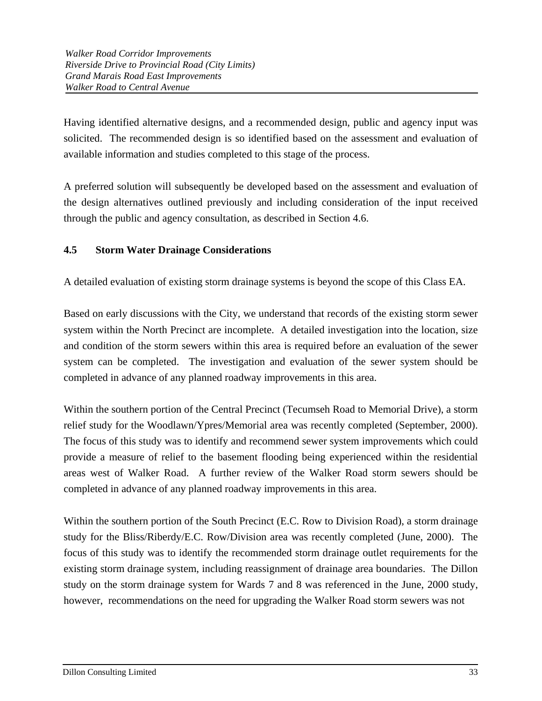Having identified alternative designs, and a recommended design, public and agency input was solicited. The recommended design is so identified based on the assessment and evaluation of available information and studies completed to this stage of the process.

A preferred solution will subsequently be developed based on the assessment and evaluation of the design alternatives outlined previously and including consideration of the input received through the public and agency consultation, as described in Section 4.6.

# **4.5 Storm Water Drainage Considerations**

A detailed evaluation of existing storm drainage systems is beyond the scope of this Class EA.

Based on early discussions with the City, we understand that records of the existing storm sewer system within the North Precinct are incomplete. A detailed investigation into the location, size and condition of the storm sewers within this area is required before an evaluation of the sewer system can be completed. The investigation and evaluation of the sewer system should be completed in advance of any planned roadway improvements in this area.

Within the southern portion of the Central Precinct (Tecumseh Road to Memorial Drive), a storm relief study for the Woodlawn/Ypres/Memorial area was recently completed (September, 2000). The focus of this study was to identify and recommend sewer system improvements which could provide a measure of relief to the basement flooding being experienced within the residential areas west of Walker Road. A further review of the Walker Road storm sewers should be completed in advance of any planned roadway improvements in this area.

Within the southern portion of the South Precinct (E.C. Row to Division Road), a storm drainage study for the Bliss/Riberdy/E.C. Row/Division area was recently completed (June, 2000). The focus of this study was to identify the recommended storm drainage outlet requirements for the existing storm drainage system, including reassignment of drainage area boundaries. The Dillon study on the storm drainage system for Wards 7 and 8 was referenced in the June, 2000 study, however, recommendations on the need for upgrading the Walker Road storm sewers was not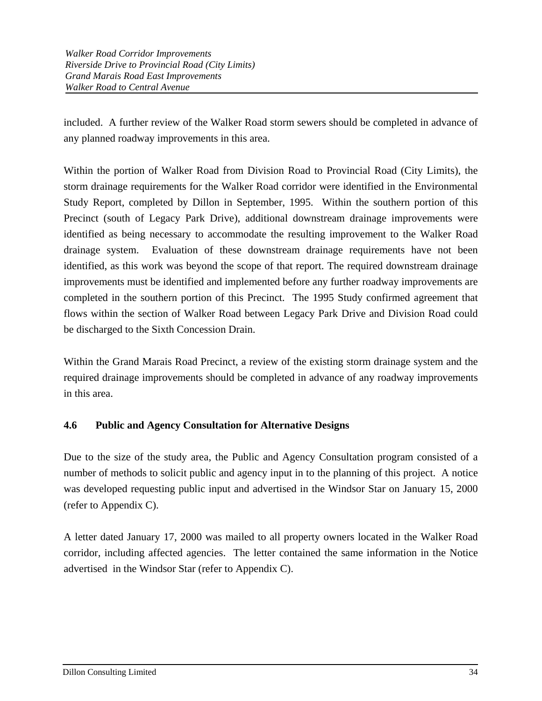included. A further review of the Walker Road storm sewers should be completed in advance of any planned roadway improvements in this area.

Within the portion of Walker Road from Division Road to Provincial Road (City Limits), the storm drainage requirements for the Walker Road corridor were identified in the Environmental Study Report, completed by Dillon in September, 1995. Within the southern portion of this Precinct (south of Legacy Park Drive), additional downstream drainage improvements were identified as being necessary to accommodate the resulting improvement to the Walker Road drainage system. Evaluation of these downstream drainage requirements have not been identified, as this work was beyond the scope of that report. The required downstream drainage improvements must be identified and implemented before any further roadway improvements are completed in the southern portion of this Precinct. The 1995 Study confirmed agreement that flows within the section of Walker Road between Legacy Park Drive and Division Road could be discharged to the Sixth Concession Drain.

Within the Grand Marais Road Precinct, a review of the existing storm drainage system and the required drainage improvements should be completed in advance of any roadway improvements in this area.

## **4.6 Public and Agency Consultation for Alternative Designs**

Due to the size of the study area, the Public and Agency Consultation program consisted of a number of methods to solicit public and agency input in to the planning of this project. A notice was developed requesting public input and advertised in the Windsor Star on January 15, 2000 (refer to Appendix C).

A letter dated January 17, 2000 was mailed to all property owners located in the Walker Road corridor, including affected agencies. The letter contained the same information in the Notice advertised in the Windsor Star (refer to Appendix C).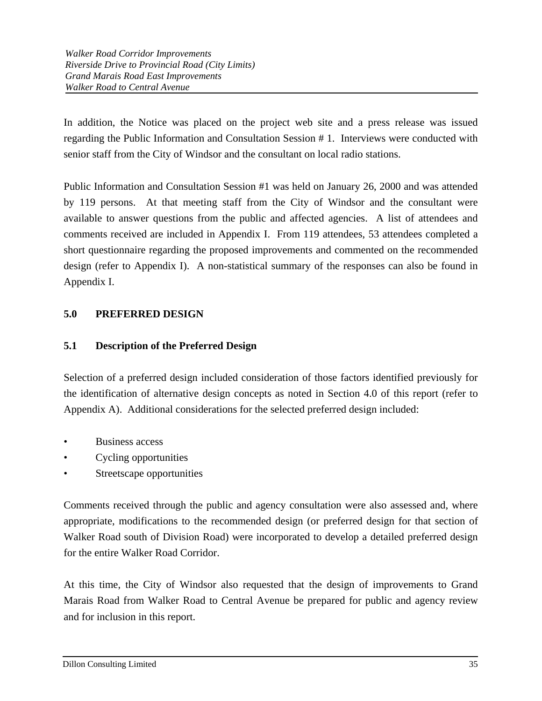In addition, the Notice was placed on the project web site and a press release was issued regarding the Public Information and Consultation Session # 1. Interviews were conducted with senior staff from the City of Windsor and the consultant on local radio stations.

Public Information and Consultation Session #1 was held on January 26, 2000 and was attended by 119 persons. At that meeting staff from the City of Windsor and the consultant were available to answer questions from the public and affected agencies. A list of attendees and comments received are included in Appendix I. From 119 attendees, 53 attendees completed a short questionnaire regarding the proposed improvements and commented on the recommended design (refer to Appendix I). A non-statistical summary of the responses can also be found in Appendix I.

# **5.0 PREFERRED DESIGN**

## **5.1 Description of the Preferred Design**

Selection of a preferred design included consideration of those factors identified previously for the identification of alternative design concepts as noted in Section 4.0 of this report (refer to Appendix A). Additional considerations for the selected preferred design included:

- Business access
- Cycling opportunities
- Streetscape opportunities

Comments received through the public and agency consultation were also assessed and, where appropriate, modifications to the recommended design (or preferred design for that section of Walker Road south of Division Road) were incorporated to develop a detailed preferred design for the entire Walker Road Corridor.

At this time, the City of Windsor also requested that the design of improvements to Grand Marais Road from Walker Road to Central Avenue be prepared for public and agency review and for inclusion in this report.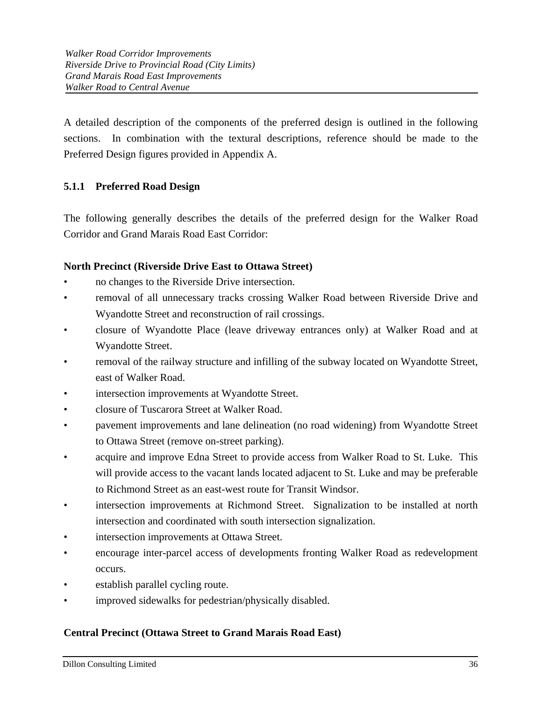A detailed description of the components of the preferred design is outlined in the following sections. In combination with the textural descriptions, reference should be made to the Preferred Design figures provided in Appendix A.

## **5.1.1 Preferred Road Design**

The following generally describes the details of the preferred design for the Walker Road Corridor and Grand Marais Road East Corridor:

## **North Precinct (Riverside Drive East to Ottawa Street)**

- no changes to the Riverside Drive intersection.
- removal of all unnecessary tracks crossing Walker Road between Riverside Drive and Wyandotte Street and reconstruction of rail crossings.
- closure of Wyandotte Place (leave driveway entrances only) at Walker Road and at Wyandotte Street.
- removal of the railway structure and infilling of the subway located on Wyandotte Street, east of Walker Road.
- intersection improvements at Wyandotte Street.
- closure of Tuscarora Street at Walker Road.
- pavement improvements and lane delineation (no road widening) from Wyandotte Street to Ottawa Street (remove on-street parking).
- acquire and improve Edna Street to provide access from Walker Road to St. Luke. This will provide access to the vacant lands located adjacent to St. Luke and may be preferable to Richmond Street as an east-west route for Transit Windsor.
- intersection improvements at Richmond Street. Signalization to be installed at north intersection and coordinated with south intersection signalization.
- intersection improvements at Ottawa Street.
- encourage inter-parcel access of developments fronting Walker Road as redevelopment occurs.
- establish parallel cycling route.
- improved sidewalks for pedestrian/physically disabled.

## **Central Precinct (Ottawa Street to Grand Marais Road East)**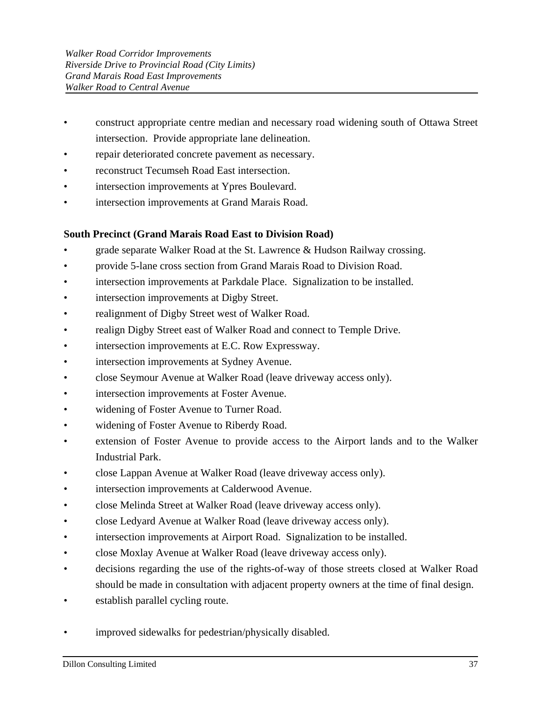- construct appropriate centre median and necessary road widening south of Ottawa Street intersection. Provide appropriate lane delineation.
- repair deteriorated concrete pavement as necessary.
- reconstruct Tecumseh Road East intersection.
- intersection improvements at Ypres Boulevard.
- intersection improvements at Grand Marais Road.

## **South Precinct (Grand Marais Road East to Division Road)**

- grade separate Walker Road at the St. Lawrence & Hudson Railway crossing.
- provide 5-lane cross section from Grand Marais Road to Division Road.
- intersection improvements at Parkdale Place. Signalization to be installed.
- intersection improvements at Digby Street.
- realignment of Digby Street west of Walker Road.
- realign Digby Street east of Walker Road and connect to Temple Drive.
- intersection improvements at E.C. Row Expressway.
- intersection improvements at Sydney Avenue.
- close Seymour Avenue at Walker Road (leave driveway access only).
- intersection improvements at Foster Avenue.
- widening of Foster Avenue to Turner Road.
- widening of Foster Avenue to Riberdy Road.
- extension of Foster Avenue to provide access to the Airport lands and to the Walker Industrial Park.
- close Lappan Avenue at Walker Road (leave driveway access only).
- intersection improvements at Calderwood Avenue.
- close Melinda Street at Walker Road (leave driveway access only).
- close Ledyard Avenue at Walker Road (leave driveway access only).
- intersection improvements at Airport Road. Signalization to be installed.
- close Moxlay Avenue at Walker Road (leave driveway access only).
- decisions regarding the use of the rights-of-way of those streets closed at Walker Road should be made in consultation with adjacent property owners at the time of final design.
- establish parallel cycling route.
- improved sidewalks for pedestrian/physically disabled.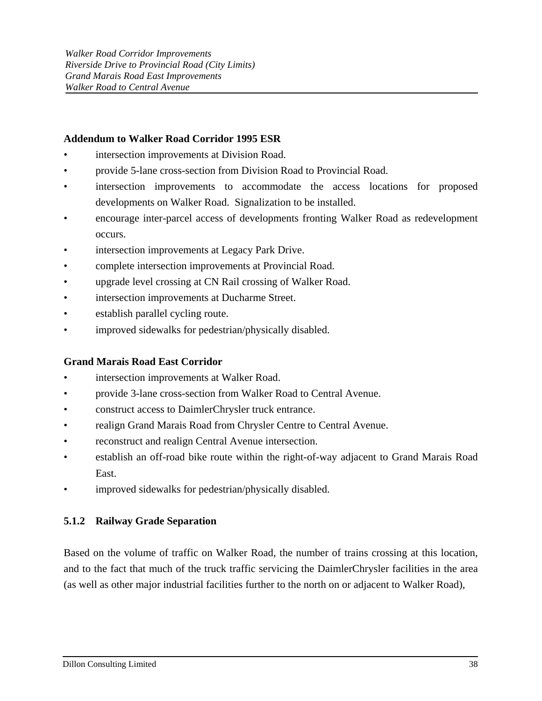## **Addendum to Walker Road Corridor 1995 ESR**

- intersection improvements at Division Road.
- provide 5-lane cross-section from Division Road to Provincial Road.
- intersection improvements to accommodate the access locations for proposed developments on Walker Road. Signalization to be installed.
- encourage inter-parcel access of developments fronting Walker Road as redevelopment occurs.
- intersection improvements at Legacy Park Drive.
- complete intersection improvements at Provincial Road.
- upgrade level crossing at CN Rail crossing of Walker Road.
- intersection improvements at Ducharme Street.
- establish parallel cycling route.
- improved sidewalks for pedestrian/physically disabled.

### **Grand Marais Road East Corridor**

- intersection improvements at Walker Road.
- provide 3-lane cross-section from Walker Road to Central Avenue.
- construct access to DaimlerChrysler truck entrance.
- realign Grand Marais Road from Chrysler Centre to Central Avenue.
- reconstruct and realign Central Avenue intersection.
- establish an off-road bike route within the right-of-way adjacent to Grand Marais Road East.
- improved sidewalks for pedestrian/physically disabled.

## **5.1.2 Railway Grade Separation**

Based on the volume of traffic on Walker Road, the number of trains crossing at this location, and to the fact that much of the truck traffic servicing the DaimlerChrysler facilities in the area (as well as other major industrial facilities further to the north on or adjacent to Walker Road),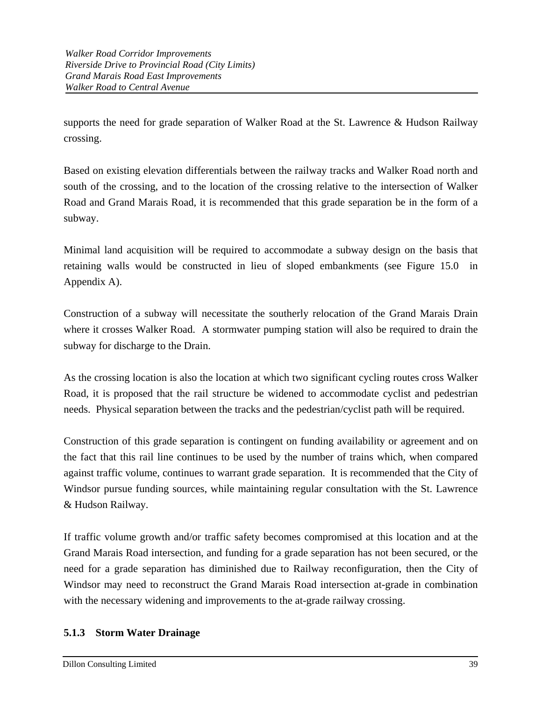supports the need for grade separation of Walker Road at the St. Lawrence & Hudson Railway crossing.

Based on existing elevation differentials between the railway tracks and Walker Road north and south of the crossing, and to the location of the crossing relative to the intersection of Walker Road and Grand Marais Road, it is recommended that this grade separation be in the form of a subway.

Minimal land acquisition will be required to accommodate a subway design on the basis that retaining walls would be constructed in lieu of sloped embankments (see Figure 15.0 in Appendix A).

Construction of a subway will necessitate the southerly relocation of the Grand Marais Drain where it crosses Walker Road. A stormwater pumping station will also be required to drain the subway for discharge to the Drain.

As the crossing location is also the location at which two significant cycling routes cross Walker Road, it is proposed that the rail structure be widened to accommodate cyclist and pedestrian needs. Physical separation between the tracks and the pedestrian/cyclist path will be required.

Construction of this grade separation is contingent on funding availability or agreement and on the fact that this rail line continues to be used by the number of trains which, when compared against traffic volume, continues to warrant grade separation. It is recommended that the City of Windsor pursue funding sources, while maintaining regular consultation with the St. Lawrence & Hudson Railway.

If traffic volume growth and/or traffic safety becomes compromised at this location and at the Grand Marais Road intersection, and funding for a grade separation has not been secured, or the need for a grade separation has diminished due to Railway reconfiguration, then the City of Windsor may need to reconstruct the Grand Marais Road intersection at-grade in combination with the necessary widening and improvements to the at-grade railway crossing.

## **5.1.3 Storm Water Drainage**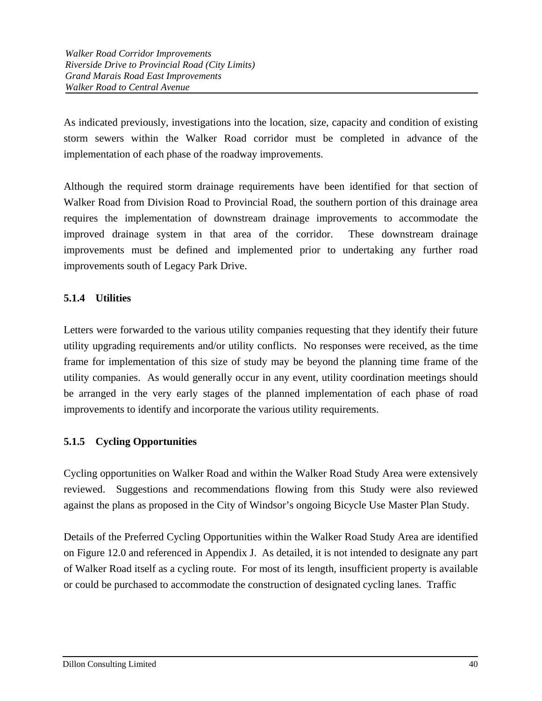As indicated previously, investigations into the location, size, capacity and condition of existing storm sewers within the Walker Road corridor must be completed in advance of the implementation of each phase of the roadway improvements.

Although the required storm drainage requirements have been identified for that section of Walker Road from Division Road to Provincial Road, the southern portion of this drainage area requires the implementation of downstream drainage improvements to accommodate the improved drainage system in that area of the corridor. These downstream drainage improvements must be defined and implemented prior to undertaking any further road improvements south of Legacy Park Drive.

# **5.1.4 Utilities**

Letters were forwarded to the various utility companies requesting that they identify their future utility upgrading requirements and/or utility conflicts. No responses were received, as the time frame for implementation of this size of study may be beyond the planning time frame of the utility companies. As would generally occur in any event, utility coordination meetings should be arranged in the very early stages of the planned implementation of each phase of road improvements to identify and incorporate the various utility requirements.

# **5.1.5 Cycling Opportunities**

Cycling opportunities on Walker Road and within the Walker Road Study Area were extensively reviewed. Suggestions and recommendations flowing from this Study were also reviewed against the plans as proposed in the City of Windsor's ongoing Bicycle Use Master Plan Study.

Details of the Preferred Cycling Opportunities within the Walker Road Study Area are identified on Figure 12.0 and referenced in Appendix J. As detailed, it is not intended to designate any part of Walker Road itself as a cycling route. For most of its length, insufficient property is available or could be purchased to accommodate the construction of designated cycling lanes. Traffic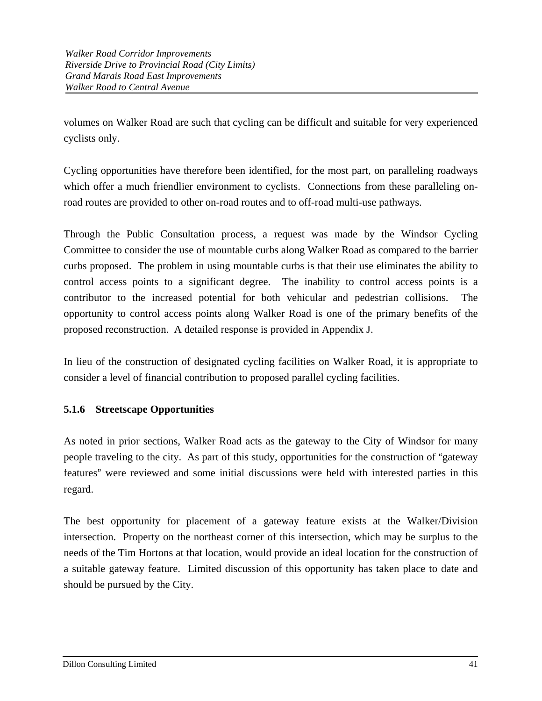volumes on Walker Road are such that cycling can be difficult and suitable for very experienced cyclists only.

Cycling opportunities have therefore been identified, for the most part, on paralleling roadways which offer a much friendlier environment to cyclists. Connections from these paralleling onroad routes are provided to other on-road routes and to off-road multi-use pathways.

Through the Public Consultation process, a request was made by the Windsor Cycling Committee to consider the use of mountable curbs along Walker Road as compared to the barrier curbs proposed. The problem in using mountable curbs is that their use eliminates the ability to control access points to a significant degree. The inability to control access points is a contributor to the increased potential for both vehicular and pedestrian collisions. The opportunity to control access points along Walker Road is one of the primary benefits of the proposed reconstruction. A detailed response is provided in Appendix J.

In lieu of the construction of designated cycling facilities on Walker Road, it is appropriate to consider a level of financial contribution to proposed parallel cycling facilities.

# **5.1.6 Streetscape Opportunities**

As noted in prior sections, Walker Road acts as the gateway to the City of Windsor for many people traveling to the city. As part of this study, opportunities for the construction of "gateway" features" were reviewed and some initial discussions were held with interested parties in this regard.

The best opportunity for placement of a gateway feature exists at the Walker/Division intersection. Property on the northeast corner of this intersection, which may be surplus to the needs of the Tim Hortons at that location, would provide an ideal location for the construction of a suitable gateway feature. Limited discussion of this opportunity has taken place to date and should be pursued by the City.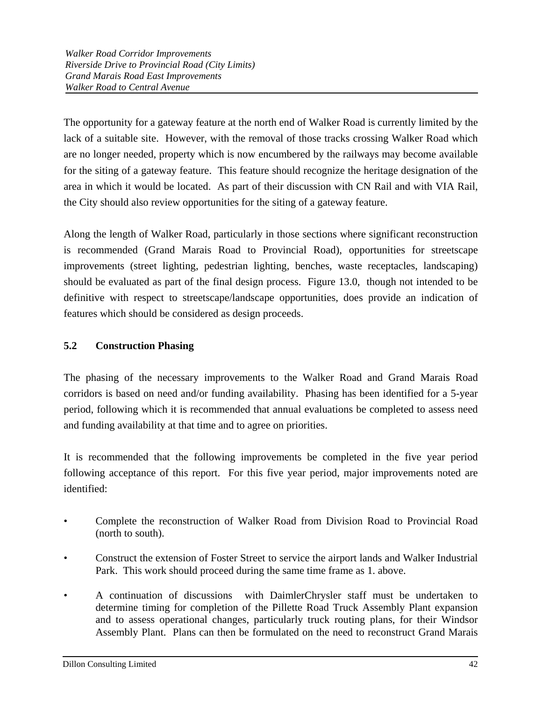The opportunity for a gateway feature at the north end of Walker Road is currently limited by the lack of a suitable site. However, with the removal of those tracks crossing Walker Road which are no longer needed, property which is now encumbered by the railways may become available for the siting of a gateway feature. This feature should recognize the heritage designation of the area in which it would be located. As part of their discussion with CN Rail and with VIA Rail, the City should also review opportunities for the siting of a gateway feature.

Along the length of Walker Road, particularly in those sections where significant reconstruction is recommended (Grand Marais Road to Provincial Road), opportunities for streetscape improvements (street lighting, pedestrian lighting, benches, waste receptacles, landscaping) should be evaluated as part of the final design process. Figure 13.0, though not intended to be definitive with respect to streetscape/landscape opportunities, does provide an indication of features which should be considered as design proceeds.

# **5.2 Construction Phasing**

The phasing of the necessary improvements to the Walker Road and Grand Marais Road corridors is based on need and/or funding availability. Phasing has been identified for a 5-year period, following which it is recommended that annual evaluations be completed to assess need and funding availability at that time and to agree on priorities.

It is recommended that the following improvements be completed in the five year period following acceptance of this report. For this five year period, major improvements noted are identified:

- Complete the reconstruction of Walker Road from Division Road to Provincial Road (north to south).
- Construct the extension of Foster Street to service the airport lands and Walker Industrial Park. This work should proceed during the same time frame as 1. above.
- A continuation of discussions with DaimlerChrysler staff must be undertaken to determine timing for completion of the Pillette Road Truck Assembly Plant expansion and to assess operational changes, particularly truck routing plans, for their Windsor Assembly Plant. Plans can then be formulated on the need to reconstruct Grand Marais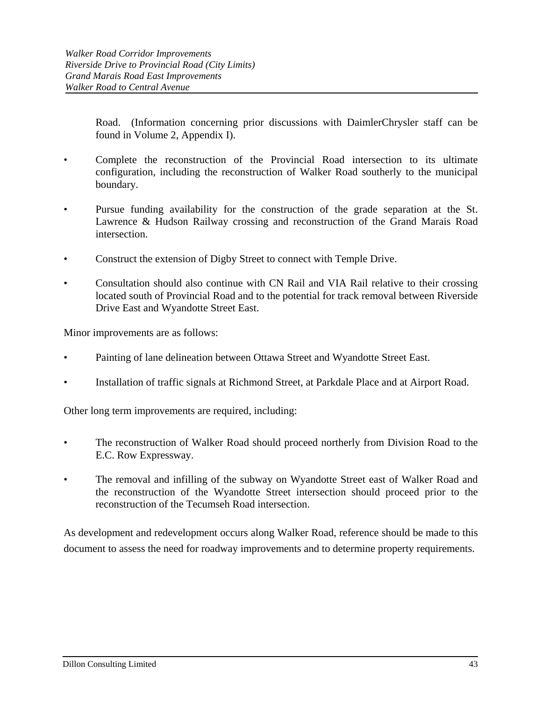Road. (Information concerning prior discussions with DaimlerChrysler staff can be found in Volume 2, Appendix I).

- Complete the reconstruction of the Provincial Road intersection to its ultimate configuration, including the reconstruction of Walker Road southerly to the municipal boundary.
- Pursue funding availability for the construction of the grade separation at the St. Lawrence & Hudson Railway crossing and reconstruction of the Grand Marais Road intersection.
- Construct the extension of Digby Street to connect with Temple Drive.
- Consultation should also continue with CN Rail and VIA Rail relative to their crossing located south of Provincial Road and to the potential for track removal between Riverside Drive East and Wyandotte Street East.

Minor improvements are as follows:

- Painting of lane delineation between Ottawa Street and Wyandotte Street East.
- Installation of traffic signals at Richmond Street, at Parkdale Place and at Airport Road.

Other long term improvements are required, including:

- The reconstruction of Walker Road should proceed northerly from Division Road to the E.C. Row Expressway.
- The removal and infilling of the subway on Wyandotte Street east of Walker Road and the reconstruction of the Wyandotte Street intersection should proceed prior to the reconstruction of the Tecumseh Road intersection.

As development and redevelopment occurs along Walker Road, reference should be made to this document to assess the need for roadway improvements and to determine property requirements.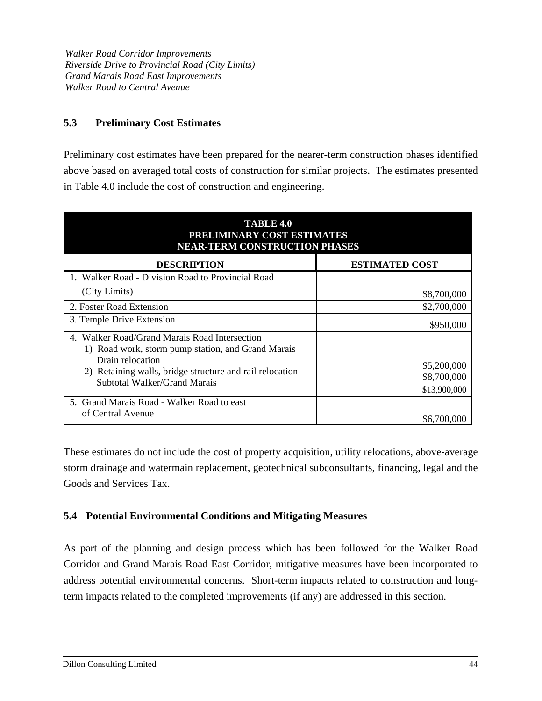# **5.3 Preliminary Cost Estimates**

Preliminary cost estimates have been prepared for the nearer-term construction phases identified above based on averaged total costs of construction for similar projects. The estimates presented in Table 4.0 include the cost of construction and engineering.

| <b>TABLE 4.0</b><br>PRELIMINARY COST ESTIMATES<br><b>NEAR-TERM CONSTRUCTION PHASES</b>                                  |                            |  |  |  |  |  |
|-------------------------------------------------------------------------------------------------------------------------|----------------------------|--|--|--|--|--|
| <b>DESCRIPTION</b>                                                                                                      | <b>ESTIMATED COST</b>      |  |  |  |  |  |
| 1. Walker Road - Division Road to Provincial Road                                                                       |                            |  |  |  |  |  |
| (City Limits)                                                                                                           | \$8,700,000                |  |  |  |  |  |
| 2. Foster Road Extension                                                                                                | \$2,700,000                |  |  |  |  |  |
| 3. Temple Drive Extension                                                                                               | \$950,000                  |  |  |  |  |  |
| 4. Walker Road/Grand Marais Road Intersection<br>1) Road work, storm pump station, and Grand Marais<br>Drain relocation |                            |  |  |  |  |  |
| 2) Retaining walls, bridge structure and rail relocation                                                                | \$5,200,000<br>\$8,700,000 |  |  |  |  |  |
| Subtotal Walker/Grand Marais                                                                                            | \$13,900,000               |  |  |  |  |  |
| 5. Grand Marais Road - Walker Road to east                                                                              |                            |  |  |  |  |  |
| of Central Avenue                                                                                                       | \$6,700,000                |  |  |  |  |  |

These estimates do not include the cost of property acquisition, utility relocations, above-average storm drainage and watermain replacement, geotechnical subconsultants, financing, legal and the Goods and Services Tax.

## **5.4 Potential Environmental Conditions and Mitigating Measures**

As part of the planning and design process which has been followed for the Walker Road Corridor and Grand Marais Road East Corridor, mitigative measures have been incorporated to address potential environmental concerns. Short-term impacts related to construction and longterm impacts related to the completed improvements (if any) are addressed in this section.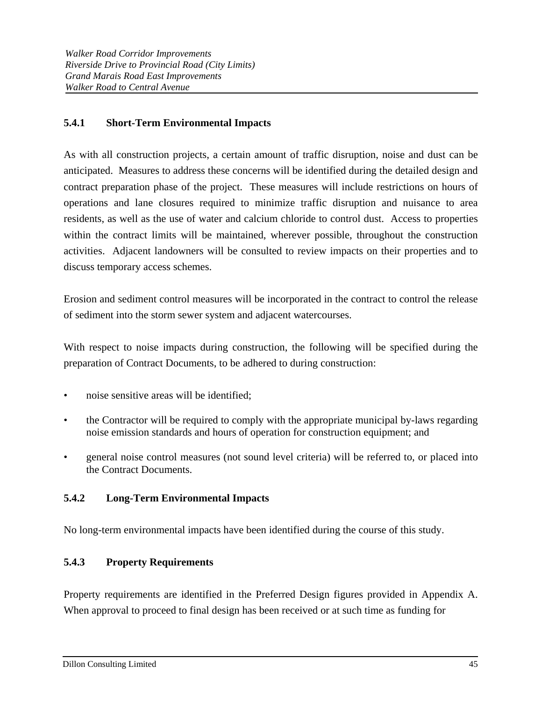## **5.4.1 Short-Term Environmental Impacts**

As with all construction projects, a certain amount of traffic disruption, noise and dust can be anticipated. Measures to address these concerns will be identified during the detailed design and contract preparation phase of the project. These measures will include restrictions on hours of operations and lane closures required to minimize traffic disruption and nuisance to area residents, as well as the use of water and calcium chloride to control dust. Access to properties within the contract limits will be maintained, wherever possible, throughout the construction activities. Adjacent landowners will be consulted to review impacts on their properties and to discuss temporary access schemes.

Erosion and sediment control measures will be incorporated in the contract to control the release of sediment into the storm sewer system and adjacent watercourses.

With respect to noise impacts during construction, the following will be specified during the preparation of Contract Documents, to be adhered to during construction:

- noise sensitive areas will be identified;
- the Contractor will be required to comply with the appropriate municipal by-laws regarding noise emission standards and hours of operation for construction equipment; and
- general noise control measures (not sound level criteria) will be referred to, or placed into the Contract Documents.

## **5.4.2 Long-Term Environmental Impacts**

No long-term environmental impacts have been identified during the course of this study.

## **5.4.3 Property Requirements**

Property requirements are identified in the Preferred Design figures provided in Appendix A. When approval to proceed to final design has been received or at such time as funding for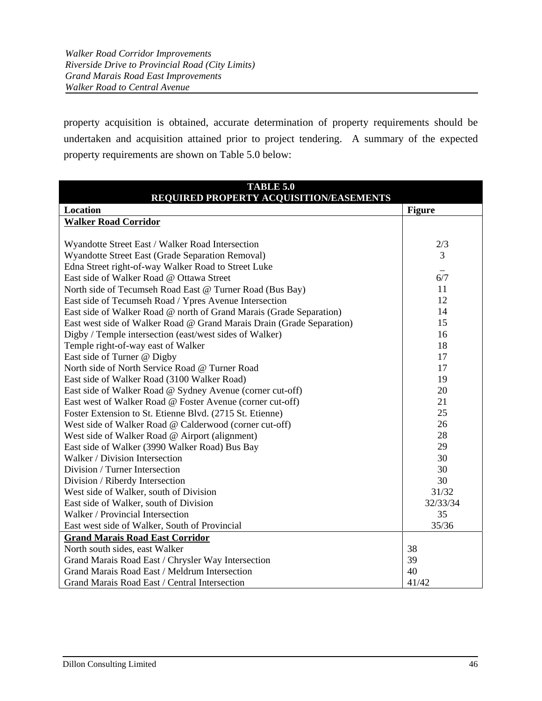property acquisition is obtained, accurate determination of property requirements should be undertaken and acquisition attained prior to project tendering. A summary of the expected property requirements are shown on Table 5.0 below:

| <b>TABLE 5.0</b>                                                      |               |  |  |  |  |  |
|-----------------------------------------------------------------------|---------------|--|--|--|--|--|
| REQUIRED PROPERTY ACQUISITION/EASEMENTS                               |               |  |  |  |  |  |
| Location                                                              | <b>Figure</b> |  |  |  |  |  |
| <b>Walker Road Corridor</b>                                           |               |  |  |  |  |  |
|                                                                       |               |  |  |  |  |  |
| Wyandotte Street East / Walker Road Intersection                      | 2/3           |  |  |  |  |  |
| Wyandotte Street East (Grade Separation Removal)                      | 3             |  |  |  |  |  |
| Edna Street right-of-way Walker Road to Street Luke                   |               |  |  |  |  |  |
| East side of Walker Road @ Ottawa Street                              | 6/7           |  |  |  |  |  |
| North side of Tecumseh Road East @ Turner Road (Bus Bay)              | 11            |  |  |  |  |  |
| East side of Tecumseh Road / Ypres Avenue Intersection                | 12            |  |  |  |  |  |
| East side of Walker Road @ north of Grand Marais (Grade Separation)   | 14            |  |  |  |  |  |
| East west side of Walker Road @ Grand Marais Drain (Grade Separation) | 15            |  |  |  |  |  |
| Digby / Temple intersection (east/west sides of Walker)               | 16            |  |  |  |  |  |
| Temple right-of-way east of Walker                                    | 18            |  |  |  |  |  |
| East side of Turner @ Digby                                           | 17            |  |  |  |  |  |
| North side of North Service Road @ Turner Road                        | 17            |  |  |  |  |  |
| East side of Walker Road (3100 Walker Road)                           | 19            |  |  |  |  |  |
| East side of Walker Road @ Sydney Avenue (corner cut-off)             | 20            |  |  |  |  |  |
| East west of Walker Road @ Foster Avenue (corner cut-off)             | 21            |  |  |  |  |  |
| Foster Extension to St. Etienne Blvd. (2715 St. Etienne)              | 25            |  |  |  |  |  |
| West side of Walker Road @ Calderwood (corner cut-off)                | 26            |  |  |  |  |  |
| West side of Walker Road @ Airport (alignment)                        | 28            |  |  |  |  |  |
| East side of Walker (3990 Walker Road) Bus Bay                        | 29            |  |  |  |  |  |
| Walker / Division Intersection                                        | 30            |  |  |  |  |  |
| Division / Turner Intersection                                        | 30            |  |  |  |  |  |
| Division / Riberdy Intersection                                       | 30            |  |  |  |  |  |
| West side of Walker, south of Division                                | 31/32         |  |  |  |  |  |
| East side of Walker, south of Division                                | 32/33/34      |  |  |  |  |  |
| Walker / Provincial Intersection                                      | 35            |  |  |  |  |  |
| East west side of Walker, South of Provincial                         | 35/36         |  |  |  |  |  |
| <b>Grand Marais Road East Corridor</b>                                |               |  |  |  |  |  |
| North south sides, east Walker                                        | 38            |  |  |  |  |  |
| Grand Marais Road East / Chrysler Way Intersection                    | 39            |  |  |  |  |  |
| Grand Marais Road East / Meldrum Intersection                         | 40            |  |  |  |  |  |
| Grand Marais Road East / Central Intersection                         | 41/42         |  |  |  |  |  |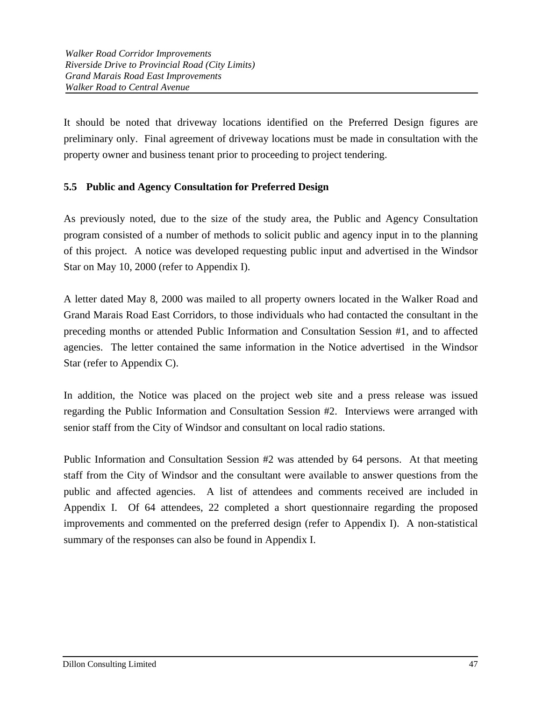It should be noted that driveway locations identified on the Preferred Design figures are preliminary only. Final agreement of driveway locations must be made in consultation with the property owner and business tenant prior to proceeding to project tendering.

## **5.5 Public and Agency Consultation for Preferred Design**

As previously noted, due to the size of the study area, the Public and Agency Consultation program consisted of a number of methods to solicit public and agency input in to the planning of this project. A notice was developed requesting public input and advertised in the Windsor Star on May 10, 2000 (refer to Appendix I).

A letter dated May 8, 2000 was mailed to all property owners located in the Walker Road and Grand Marais Road East Corridors, to those individuals who had contacted the consultant in the preceding months or attended Public Information and Consultation Session #1, and to affected agencies. The letter contained the same information in the Notice advertised in the Windsor Star (refer to Appendix C).

In addition, the Notice was placed on the project web site and a press release was issued regarding the Public Information and Consultation Session #2. Interviews were arranged with senior staff from the City of Windsor and consultant on local radio stations.

Public Information and Consultation Session #2 was attended by 64 persons. At that meeting staff from the City of Windsor and the consultant were available to answer questions from the public and affected agencies. A list of attendees and comments received are included in Appendix I. Of 64 attendees, 22 completed a short questionnaire regarding the proposed improvements and commented on the preferred design (refer to Appendix I). A non-statistical summary of the responses can also be found in Appendix I.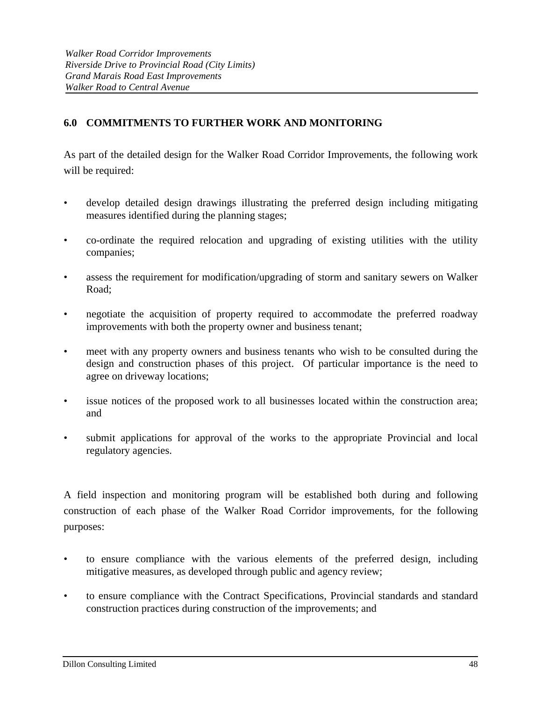# **6.0 COMMITMENTS TO FURTHER WORK AND MONITORING**

As part of the detailed design for the Walker Road Corridor Improvements, the following work will be required:

- develop detailed design drawings illustrating the preferred design including mitigating measures identified during the planning stages;
- co-ordinate the required relocation and upgrading of existing utilities with the utility companies;
- assess the requirement for modification/upgrading of storm and sanitary sewers on Walker Road;
- negotiate the acquisition of property required to accommodate the preferred roadway improvements with both the property owner and business tenant;
- meet with any property owners and business tenants who wish to be consulted during the design and construction phases of this project. Of particular importance is the need to agree on driveway locations;
- issue notices of the proposed work to all businesses located within the construction area; and
- submit applications for approval of the works to the appropriate Provincial and local regulatory agencies.

A field inspection and monitoring program will be established both during and following construction of each phase of the Walker Road Corridor improvements, for the following purposes:

- to ensure compliance with the various elements of the preferred design, including mitigative measures, as developed through public and agency review;
- to ensure compliance with the Contract Specifications, Provincial standards and standard construction practices during construction of the improvements; and